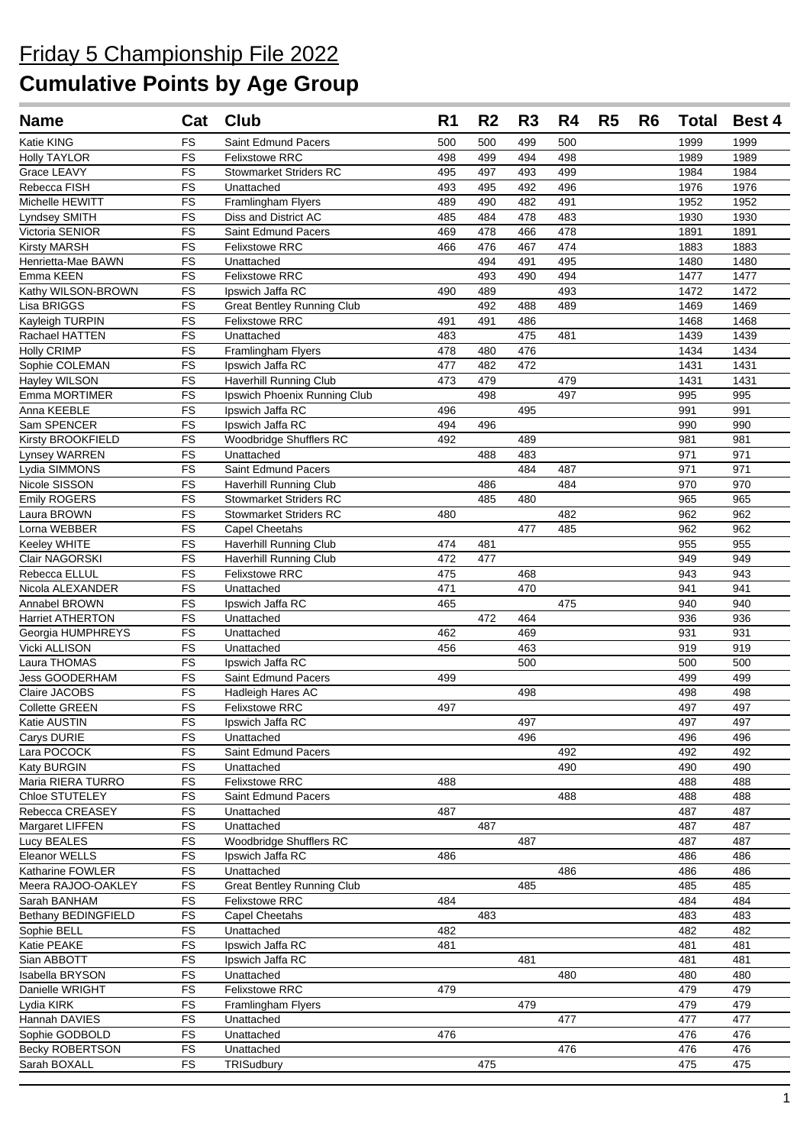| <b>Name</b>                         | Cat                    | <b>Club</b>                       | R <sub>1</sub> | R <sub>2</sub> | R <sub>3</sub> | R4  | R <sub>5</sub> | R6 | <b>Total</b> | <b>Best 4</b> |
|-------------------------------------|------------------------|-----------------------------------|----------------|----------------|----------------|-----|----------------|----|--------------|---------------|
| Katie KING                          | <b>FS</b>              | Saint Edmund Pacers               | 500            | 500            | 499            | 500 |                |    | 1999         | 1999          |
| <b>Holly TAYLOR</b>                 | <b>FS</b>              | <b>Felixstowe RRC</b>             | 498            | 499            | 494            | 498 |                |    | 1989         | 1989          |
| Grace LEAVY                         | <b>FS</b>              | <b>Stowmarket Striders RC</b>     | 495            | 497            | 493            | 499 |                |    | 1984         | 1984          |
| Rebecca FISH                        | <b>FS</b>              | Unattached                        | 493            | 495            | 492            | 496 |                |    | 1976         | 1976          |
| Michelle HEWITT                     | <b>FS</b>              | Framlingham Flyers                | 489            | 490            | 482            | 491 |                |    | 1952         | 1952          |
| Lyndsey SMITH                       | FS                     | Diss and District AC              | 485            | 484            | 478            | 483 |                |    | 1930         | 1930          |
| Victoria SENIOR                     | FS                     | Saint Edmund Pacers               | 469            | 478            | 466            | 478 |                |    | 1891         | 1891          |
| <b>Kirsty MARSH</b>                 | <b>FS</b>              | <b>Felixstowe RRC</b>             | 466            | 476            | 467            | 474 |                |    | 1883         | 1883          |
| Henrietta-Mae BAWN                  | <b>FS</b>              | Unattached                        |                | 494            | 491            | 495 |                |    | 1480         | 1480          |
| Emma KEEN                           | FS                     | Felixstowe RRC                    |                | 493            | 490            | 494 |                |    | 1477         | 1477          |
| Kathy WILSON-BROWN                  | FS                     | Ipswich Jaffa RC                  | 490            | 489            |                | 493 |                |    | 1472         | 1472          |
| Lisa BRIGGS                         | FS                     | <b>Great Bentley Running Club</b> |                | 492            | 488            | 489 |                |    | 1469         | 1469          |
| Kayleigh TURPIN                     | FS                     | <b>Felixstowe RRC</b>             | 491            | 491            | 486            |     |                |    | 1468         | 1468          |
| Rachael HATTEN                      | FS                     | Unattached                        | 483            |                | 475            | 481 |                |    | 1439         | 1439          |
| <b>Holly CRIMP</b>                  | FS                     | Framlingham Flyers                | 478            | 480            | 476            |     |                |    | 1434         | 1434          |
| Sophie COLEMAN                      | <b>FS</b>              | Ipswich Jaffa RC                  | 477            | 482            | 472            |     |                |    | 1431         | 1431          |
| Hayley WILSON                       | FS                     | Haverhill Running Club            | 473            | 479            |                | 479 |                |    | 1431         | 1431          |
| Emma MORTIMER                       | FS                     | Ipswich Phoenix Running Club      |                | 498            |                | 497 |                |    | 995          | 995           |
| Anna KEEBLE                         | FS                     | Ipswich Jaffa RC                  | 496            |                | 495            |     |                |    | 991          | 991           |
| Sam SPENCER                         | <b>FS</b>              | Ipswich Jaffa RC                  | 494            | 496            |                |     |                |    | 990          | 990           |
| Kirsty BROOKFIELD                   | FS                     | Woodbridge Shufflers RC           | 492            |                | 489            |     |                |    | 981          | 981           |
| Lynsey WARREN                       | FS                     | Unattached                        |                | 488            | 483            |     |                |    | 971          | 971           |
| Lydia SIMMONS                       | FS                     | Saint Edmund Pacers               |                |                | 484            | 487 |                |    | 971          | 971           |
| Nicole SISSON                       | FS                     | <b>Haverhill Running Club</b>     |                | 486            |                | 484 |                |    | 970          | 970           |
| Emily ROGERS                        | <b>FS</b>              | <b>Stowmarket Striders RC</b>     |                | 485            | 480            |     |                |    | 965          | 965           |
| Laura BROWN                         | <b>FS</b>              | <b>Stowmarket Striders RC</b>     | 480            |                |                | 482 |                |    | 962          | 962           |
| Lorna WEBBER                        | <b>FS</b>              | Capel Cheetahs                    |                |                | 477            | 485 |                |    | 962          | 962           |
| Keeley WHITE                        | FS                     | Haverhill Running Club            | 474            | 481            |                |     |                |    | 955          | 955           |
| Clair NAGORSKI                      | FS                     | Haverhill Running Club            | 472            | 477            |                |     |                |    | 949          | 949           |
| Rebecca ELLUL                       | FS                     | Felixstowe RRC                    | 475            |                | 468            |     |                |    | 943          | 943           |
| Nicola ALEXANDER                    | <b>FS</b>              | Unattached                        | 471            |                | 470            |     |                |    | 941          | 941           |
| Annabel BROWN                       | FS                     | Ipswich Jaffa RC                  | 465            |                |                | 475 |                |    | 940          | 940           |
| Harriet ATHERTON                    | FS                     | Unattached                        |                | 472            | 464            |     |                |    | 936          | 936           |
| Georgia HUMPHREYS                   | FS                     | Unattached                        | 462            |                | 469            |     |                |    | 931          | 931           |
| Vicki ALLISON                       | FS                     | Unattached                        | 456            |                | 463            |     |                |    | 919          | 919           |
| Laura THOMAS                        | <b>FS</b>              | Ipswich Jaffa RC                  |                |                | 500            |     |                |    | 500          | 500           |
| Jess GOODERHAM                      | <b>FS</b>              | Saint Edmund Pacers               | 499            |                |                |     |                |    | 499          | 499           |
| Claire JACOBS                       | FS                     | Hadleigh Hares AC                 |                |                | 498            |     |                |    | 498          | 498           |
| <b>Collette GREEN</b>               | <b>FS</b>              | <b>Felixstowe RRC</b>             | 497            |                |                |     |                |    | 497          | 497           |
| Katie AUSTIN                        | FS                     | Ipswich Jaffa RC                  |                |                | 497            |     |                |    | 497          | 497           |
| Carys DURIE                         | FS                     | Unattached                        |                |                | 496            |     |                |    | 496          | 496           |
| Lara POCOCK                         | <b>FS</b>              | Saint Edmund Pacers               |                |                |                | 492 |                |    | 492          | 492           |
| Katy BURGIN                         | FS                     | Unattached<br>Felixstowe RRC      |                |                |                | 490 |                |    | 490          | 490<br>488    |
| Maria RIERA TURRO<br>Chloe STUTELEY | <b>FS</b><br><b>FS</b> | Saint Edmund Pacers               | 488            |                |                | 488 |                |    | 488<br>488   | 488           |
| Rebecca CREASEY                     | FS                     | Unattached                        | 487            |                |                |     |                |    | 487          | 487           |
| Margaret LIFFEN                     | <b>FS</b>              | Unattached                        |                | 487            |                |     |                |    | 487          | 487           |
| Lucy BEALES                         | FS                     | <b>Woodbridge Shufflers RC</b>    |                |                | 487            |     |                |    | 487          | 487           |
| Eleanor WELLS                       | FS                     | Ipswich Jaffa RC                  | 486            |                |                |     |                |    | 486          | 486           |
| Katharine FOWLER                    | FS                     | Unattached                        |                |                |                | 486 |                |    | 486          | 486           |
| Meera RAJOO-OAKLEY                  | FS                     | <b>Great Bentley Running Club</b> |                |                | 485            |     |                |    | 485          | 485           |
| Sarah BANHAM                        | FS                     | Felixstowe RRC                    | 484            |                |                |     |                |    | 484          | 484           |
| Bethany BEDINGFIELD                 | <b>FS</b>              | Capel Cheetahs                    |                | 483            |                |     |                |    | 483          | 483           |
| Sophie BELL                         | FS                     | Unattached                        | 482            |                |                |     |                |    | 482          | 482           |
| Katie PEAKE                         | FS                     | Ipswich Jaffa RC                  | 481            |                |                |     |                |    | 481          | 481           |
| Sian ABBOTT                         | FS                     | Ipswich Jaffa RC                  |                |                | 481            |     |                |    | 481          | 481           |
| Isabella BRYSON                     | <b>FS</b>              | Unattached                        |                |                |                | 480 |                |    | 480          | 480           |
| Danielle WRIGHT                     | <b>FS</b>              | <b>Felixstowe RRC</b>             | 479            |                |                |     |                |    | 479          | 479           |
| Lydia KIRK                          | FS                     | Framlingham Flyers                |                |                | 479            |     |                |    | 479          | 479           |
| Hannah DAVIES                       | <b>FS</b>              | Unattached                        |                |                |                | 477 |                |    | 477          | 477           |
| Sophie GODBOLD                      | <b>FS</b>              | Unattached                        | 476            |                |                |     |                |    | 476          | 476           |
| Becky ROBERTSON                     | <b>FS</b>              | Unattached                        |                |                |                | 476 |                |    | 476          | 476           |
| Sarah BOXALL                        | <b>FS</b>              | TRISudbury                        |                | 475            |                |     |                |    | 475          | 475           |
|                                     |                        |                                   |                |                |                |     |                |    |              |               |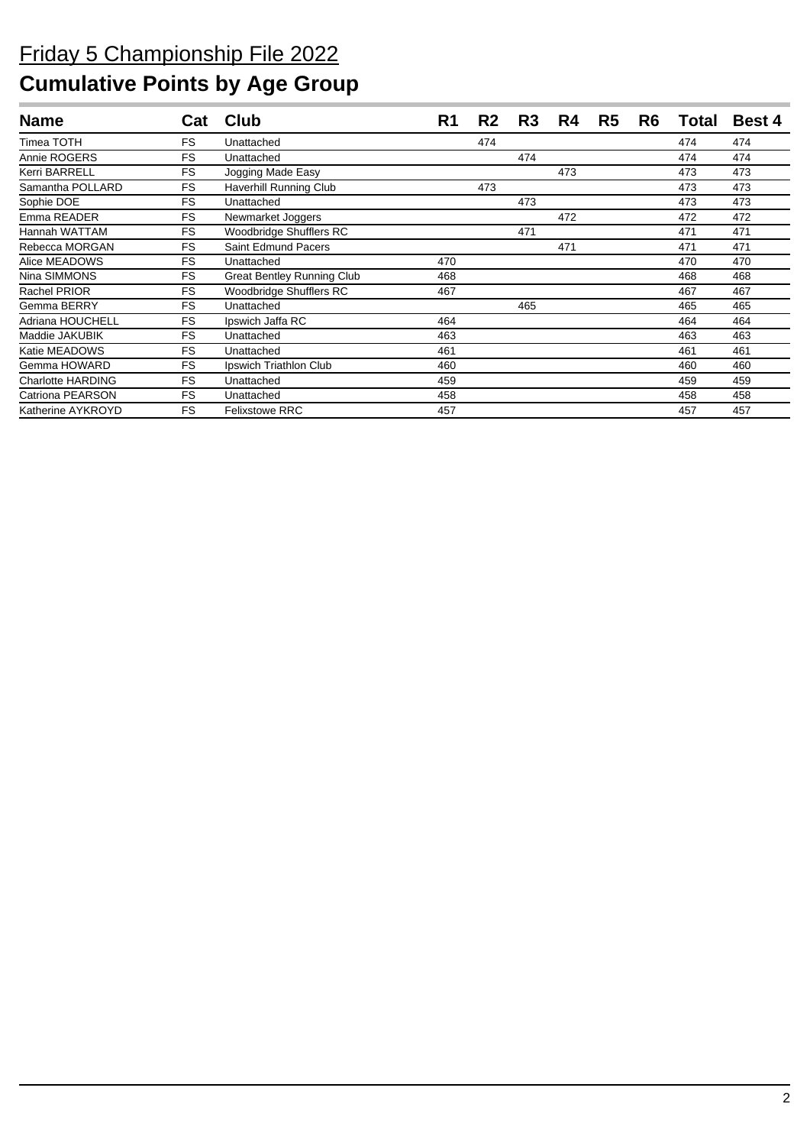| <b>Name</b>              | Cat       | Club                              | R <sub>1</sub> | R2  | R <sub>3</sub> | R4  | R <sub>5</sub> | R <sub>6</sub> | Total | <b>Best 4</b> |
|--------------------------|-----------|-----------------------------------|----------------|-----|----------------|-----|----------------|----------------|-------|---------------|
| Timea TOTH               | <b>FS</b> | Unattached                        |                | 474 |                |     |                |                | 474   | 474           |
| Annie ROGERS             | <b>FS</b> | Unattached                        |                |     | 474            |     |                |                | 474   | 474           |
| Kerri BARRELL            | FS        | Jogging Made Easy                 |                |     |                | 473 |                |                | 473   | 473           |
| Samantha POLLARD         | <b>FS</b> | Haverhill Running Club            |                | 473 |                |     |                |                | 473   | 473           |
| Sophie DOE               | <b>FS</b> | Unattached                        |                |     | 473            |     |                |                | 473   | 473           |
| Emma READER              | FS        | Newmarket Joggers                 |                |     |                | 472 |                |                | 472   | 472           |
| Hannah WATTAM            | <b>FS</b> | Woodbridge Shufflers RC           |                |     | 471            |     |                |                | 471   | 471           |
| Rebecca MORGAN           | <b>FS</b> | Saint Edmund Pacers               |                |     |                | 471 |                |                | 471   | 471           |
| Alice MEADOWS            | <b>FS</b> | Unattached                        | 470            |     |                |     |                |                | 470   | 470           |
| Nina SIMMONS             | <b>FS</b> | <b>Great Bentley Running Club</b> | 468            |     |                |     |                |                | 468   | 468           |
| Rachel PRIOR             | <b>FS</b> | Woodbridge Shufflers RC           | 467            |     |                |     |                |                | 467   | 467           |
| Gemma BERRY              | <b>FS</b> | Unattached                        |                |     | 465            |     |                |                | 465   | 465           |
| Adriana HOUCHELL         | <b>FS</b> | Ipswich Jaffa RC                  | 464            |     |                |     |                |                | 464   | 464           |
| Maddie JAKUBIK           | <b>FS</b> | Unattached                        | 463            |     |                |     |                |                | 463   | 463           |
| Katie MEADOWS            | <b>FS</b> | Unattached                        | 461            |     |                |     |                |                | 461   | 461           |
| Gemma HOWARD             | <b>FS</b> | Ipswich Triathlon Club            | 460            |     |                |     |                |                | 460   | 460           |
| <b>Charlotte HARDING</b> | <b>FS</b> | Unattached                        | 459            |     |                |     |                |                | 459   | 459           |
| Catriona PEARSON         | <b>FS</b> | Unattached                        | 458            |     |                |     |                |                | 458   | 458           |
| Katherine AYKROYD        | <b>FS</b> | <b>Felixstowe RRC</b>             | 457            |     |                |     |                |                | 457   | 457           |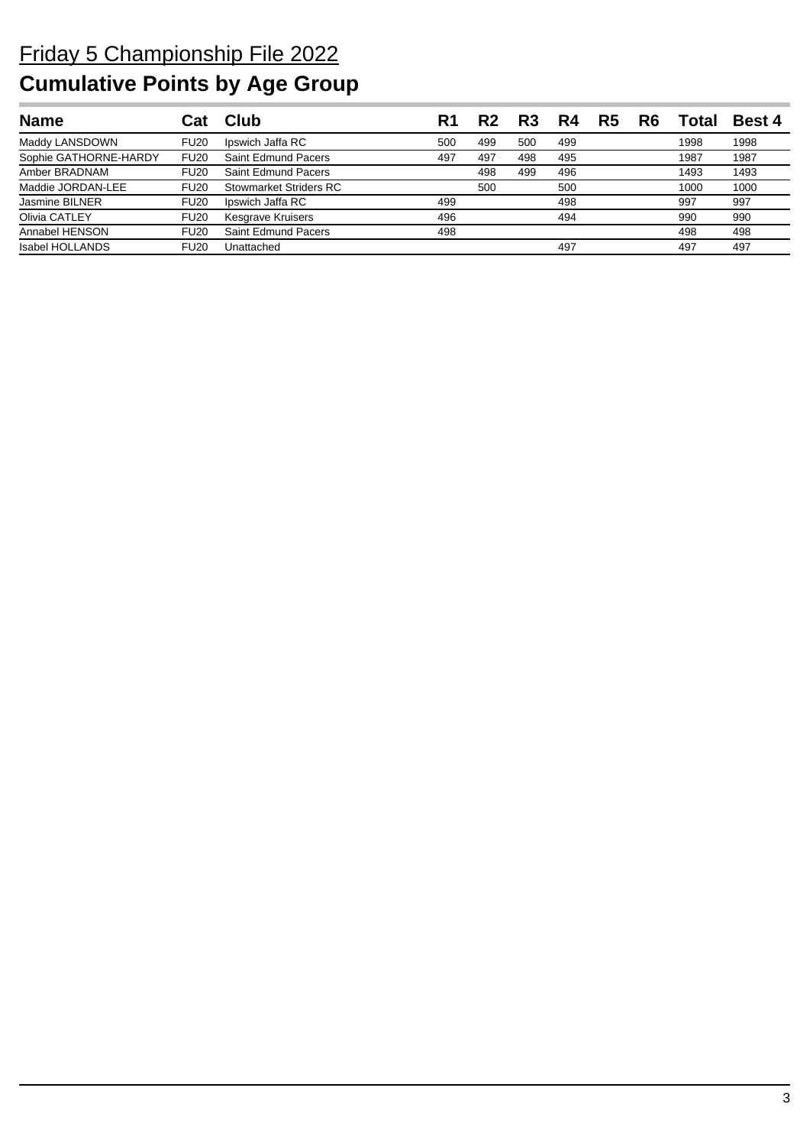| <b>Name</b>            |             | Club                     | R1  |     | R <sub>3</sub> |     | R5 | R6 | Total | <b>Best 4</b> |
|------------------------|-------------|--------------------------|-----|-----|----------------|-----|----|----|-------|---------------|
| Maddy LANSDOWN         | <b>FU20</b> | Ipswich Jaffa RC         | 500 | 499 | 500            | 499 |    |    | 1998  | 1998          |
| Sophie GATHORNE-HARDY  | <b>FU20</b> | Saint Edmund Pacers      | 497 | 497 | 498            | 495 |    |    | 1987  | 1987          |
| Amber BRADNAM          | <b>FU20</b> | Saint Edmund Pacers      |     | 498 | 499            | 496 |    |    | 1493  | 1493          |
| Maddie JORDAN-LEE      | <b>FU20</b> | Stowmarket Striders RC   |     | 500 |                | 500 |    |    | 1000  | 1000          |
| <b>Jasmine BILNER</b>  | <b>FU20</b> | Ipswich Jaffa RC         | 499 |     |                | 498 |    |    | 997   | 997           |
| Olivia CATLEY          | <b>FU20</b> | <b>Kesgrave Kruisers</b> | 496 |     |                | 494 |    |    | 990   | 990           |
| Annabel HENSON         | <b>FU20</b> | Saint Edmund Pacers      | 498 |     |                |     |    |    | 498   | 498           |
| <b>Isabel HOLLANDS</b> | <b>FU20</b> | Unattached               |     |     |                | 497 |    |    | 497   | 497           |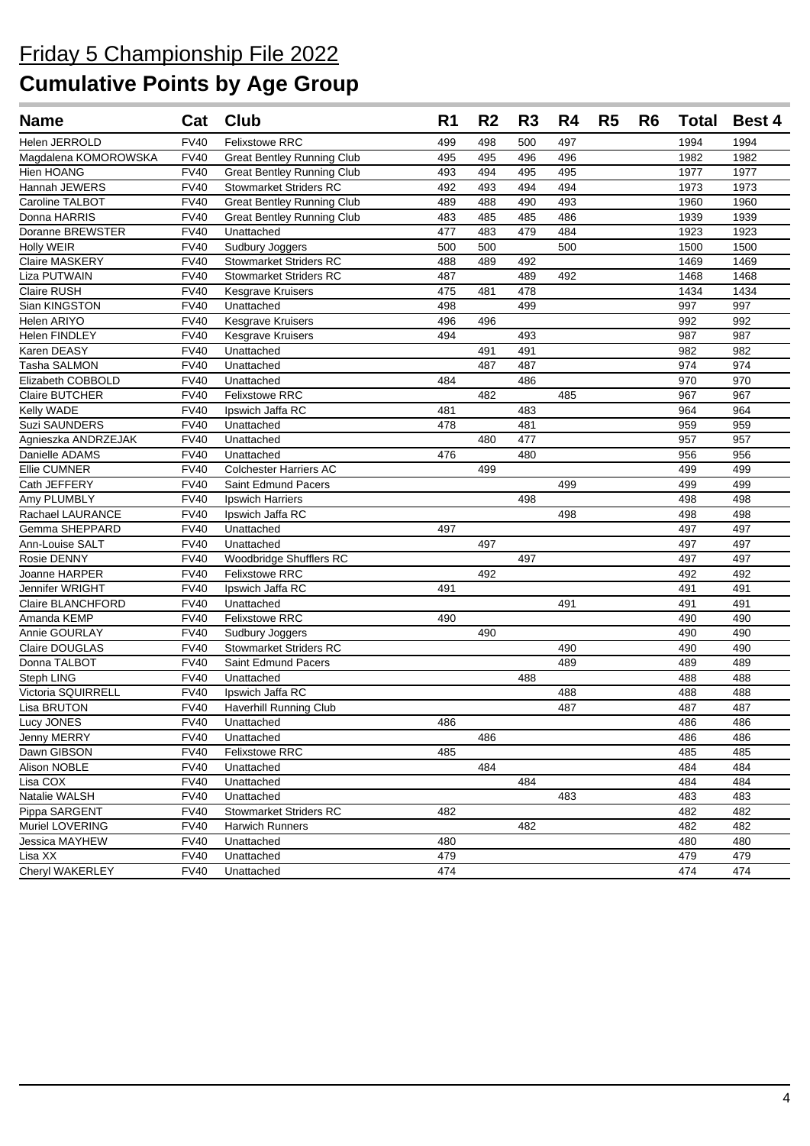| <b>Name</b>          | Cat         | <b>Club</b>                       | R <sub>1</sub> | R <sub>2</sub> | R <sub>3</sub> | R4  | R <sub>5</sub> | R <sub>6</sub> | <b>Total</b> | <b>Best 4</b> |
|----------------------|-------------|-----------------------------------|----------------|----------------|----------------|-----|----------------|----------------|--------------|---------------|
| Helen JERROLD        | <b>FV40</b> | <b>Felixstowe RRC</b>             | 499            | 498            | 500            | 497 |                |                | 1994         | 1994          |
| Magdalena KOMOROWSKA | <b>FV40</b> | <b>Great Bentley Running Club</b> | 495            | 495            | 496            | 496 |                |                | 1982         | 1982          |
| Hien HOANG           | <b>FV40</b> | <b>Great Bentley Running Club</b> | 493            | 494            | 495            | 495 |                |                | 1977         | 1977          |
| Hannah JEWERS        | <b>FV40</b> | <b>Stowmarket Striders RC</b>     | 492            | 493            | 494            | 494 |                |                | 1973         | 1973          |
| Caroline TALBOT      | <b>FV40</b> | <b>Great Bentley Running Club</b> | 489            | 488            | 490            | 493 |                |                | 1960         | 1960          |
| Donna HARRIS         | <b>FV40</b> | <b>Great Bentley Running Club</b> | 483            | 485            | 485            | 486 |                |                | 1939         | 1939          |
| Doranne BREWSTER     | <b>FV40</b> | Unattached                        | 477            | 483            | 479            | 484 |                |                | 1923         | 1923          |
| <b>Holly WEIR</b>    | <b>FV40</b> | Sudbury Joggers                   | 500            | 500            |                | 500 |                |                | 1500         | 1500          |
| Claire MASKERY       | <b>FV40</b> | <b>Stowmarket Striders RC</b>     | 488            | 489            | 492            |     |                |                | 1469         | 1469          |
| Liza PUTWAIN         | <b>FV40</b> | <b>Stowmarket Striders RC</b>     | 487            |                | 489            | 492 |                |                | 1468         | 1468          |
| Claire RUSH          | <b>FV40</b> | <b>Kesgrave Kruisers</b>          | 475            | 481            | 478            |     |                |                | 1434         | 1434          |
| Sian KINGSTON        | <b>FV40</b> | Unattached                        | 498            |                | 499            |     |                |                | 997          | 997           |
| Helen ARIYO          | <b>FV40</b> | <b>Kesgrave Kruisers</b>          | 496            | 496            |                |     |                |                | 992          | 992           |
| Helen FINDLEY        | <b>FV40</b> | Kesgrave Kruisers                 | 494            |                | 493            |     |                |                | 987          | 987           |
| Karen DEASY          | <b>FV40</b> | Unattached                        |                | 491            | 491            |     |                |                | 982          | 982           |
| Tasha SALMON         | <b>FV40</b> | Unattached                        |                | 487            | 487            |     |                |                | 974          | 974           |
| Elizabeth COBBOLD    | <b>FV40</b> | Unattached                        | 484            |                | 486            |     |                |                | 970          | 970           |
| Claire BUTCHER       | <b>FV40</b> | <b>Felixstowe RRC</b>             |                | 482            |                | 485 |                |                | 967          | 967           |
| Kelly WADE           | <b>FV40</b> | Ipswich Jaffa RC                  | 481            |                | 483            |     |                |                | 964          | 964           |
| <b>Suzi SAUNDERS</b> | <b>FV40</b> | Unattached                        | 478            |                | 481            |     |                |                | 959          | 959           |
| Agnieszka ANDRZEJAK  | <b>FV40</b> | Unattached                        |                | 480            | 477            |     |                |                | 957          | 957           |
| Danielle ADAMS       | <b>FV40</b> | Unattached                        | 476            |                | 480            |     |                |                | 956          | 956           |
| Ellie CUMNER         | <b>FV40</b> | <b>Colchester Harriers AC</b>     |                | 499            |                |     |                |                | 499          | 499           |
| Cath JEFFERY         | <b>FV40</b> | <b>Saint Edmund Pacers</b>        |                |                |                | 499 |                |                | 499          | 499           |
| Amy PLUMBLY          | <b>FV40</b> | <b>Ipswich Harriers</b>           |                |                | 498            |     |                |                | 498          | 498           |
| Rachael LAURANCE     | <b>FV40</b> | Ipswich Jaffa RC                  |                |                |                | 498 |                |                | 498          | 498           |
| Gemma SHEPPARD       | <b>FV40</b> | Unattached                        | 497            |                |                |     |                |                | 497          | 497           |
| Ann-Louise SALT      | <b>FV40</b> | Unattached                        |                | 497            |                |     |                |                | 497          | 497           |
| Rosie DENNY          | <b>FV40</b> | Woodbridge Shufflers RC           |                |                | 497            |     |                |                | 497          | 497           |
| Joanne HARPER        | <b>FV40</b> | <b>Felixstowe RRC</b>             |                | 492            |                |     |                |                | 492          | 492           |
| Jennifer WRIGHT      | <b>FV40</b> | Ipswich Jaffa RC                  | 491            |                |                |     |                |                | 491          | 491           |
| Claire BLANCHFORD    | <b>FV40</b> | Unattached                        |                |                |                | 491 |                |                | 491          | 491           |
| Amanda KEMP          | <b>FV40</b> | <b>Felixstowe RRC</b>             | 490            |                |                |     |                |                | 490          | 490           |
| <b>Annie GOURLAY</b> | <b>FV40</b> | Sudbury Joggers                   |                | 490            |                |     |                |                | 490          | 490           |
| Claire DOUGLAS       | <b>FV40</b> | <b>Stowmarket Striders RC</b>     |                |                |                | 490 |                |                | 490          | 490           |
| Donna TALBOT         | <b>FV40</b> | Saint Edmund Pacers               |                |                |                | 489 |                |                | 489          | 489           |
| Steph LING           | <b>FV40</b> | Unattached                        |                |                | 488            |     |                |                | 488          | 488           |
| Victoria SQUIRRELL   | <b>FV40</b> | Ipswich Jaffa RC                  |                |                |                | 488 |                |                | 488          | 488           |
| Lisa BRUTON          | <b>FV40</b> | Haverhill Running Club            |                |                |                | 487 |                |                | 487          | 487           |
| Lucy JONES           | FV40        | Unattached                        | 486            |                |                |     |                |                | 486          | 486           |
| Jenny MERRY          | <b>FV40</b> | Unattached                        |                | 486            |                |     |                |                | 486          | 486           |
| Dawn GIBSON          | <b>FV40</b> | <b>Felixstowe RRC</b>             | 485            |                |                |     |                |                | 485          | 485           |
| Alison NOBLE         | <b>FV40</b> | Unattached                        |                | 484            |                |     |                |                | 484          | 484           |
| Lisa COX             | <b>FV40</b> | Unattached                        |                |                | 484            |     |                |                | 484          | 484           |
| Natalie WALSH        | <b>FV40</b> | Unattached                        |                |                |                | 483 |                |                | 483          | 483           |
| Pippa SARGENT        | <b>FV40</b> | <b>Stowmarket Striders RC</b>     | 482            |                |                |     |                |                | 482          | 482           |
| Muriel LOVERING      | <b>FV40</b> | <b>Harwich Runners</b>            |                |                | 482            |     |                |                | 482          | 482           |
| Jessica MAYHEW       | <b>FV40</b> | Unattached                        | 480            |                |                |     |                |                | 480          | 480           |
| Lisa XX              | <b>FV40</b> | Unattached                        | 479            |                |                |     |                |                | 479          | 479           |
| Cheryl WAKERLEY      | <b>FV40</b> | Unattached                        | 474            |                |                |     |                |                | 474          | 474           |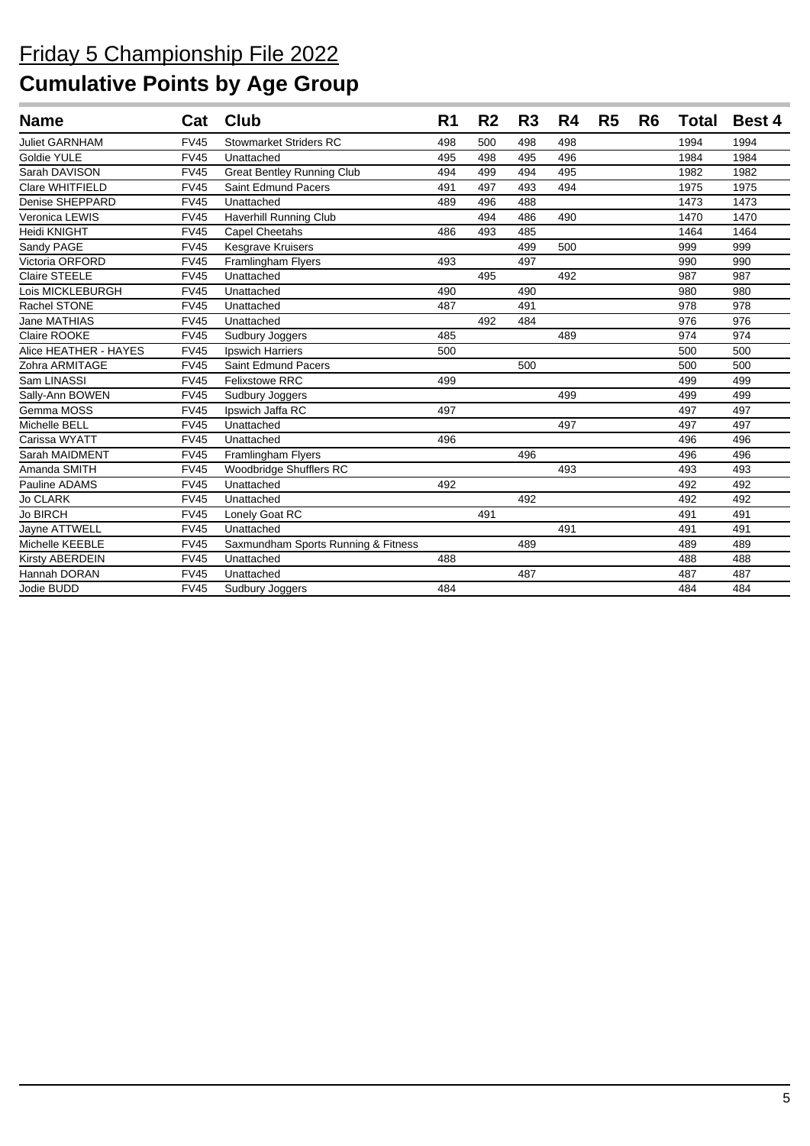| <b>Name</b>           | Cat         | <b>Club</b>                         | R <sub>1</sub> | R <sub>2</sub> | R <sub>3</sub> | R4  | R <sub>5</sub> | R <sub>6</sub> | <b>Total</b> | <b>Best 4</b> |
|-----------------------|-------------|-------------------------------------|----------------|----------------|----------------|-----|----------------|----------------|--------------|---------------|
| <b>Juliet GARNHAM</b> | <b>FV45</b> | <b>Stowmarket Striders RC</b>       | 498            | 500            | 498            | 498 |                |                | 1994         | 1994          |
| Goldie YULE           | <b>FV45</b> | Unattached                          | 495            | 498            | 495            | 496 |                |                | 1984         | 1984          |
| Sarah DAVISON         | <b>FV45</b> | <b>Great Bentley Running Club</b>   | 494            | 499            | 494            | 495 |                |                | 1982         | 1982          |
| Clare WHITFIELD       | <b>FV45</b> | Saint Edmund Pacers                 | 491            | 497            | 493            | 494 |                |                | 1975         | 1975          |
| Denise SHEPPARD       | <b>FV45</b> | Unattached                          | 489            | 496            | 488            |     |                |                | 1473         | 1473          |
| Veronica LEWIS        | <b>FV45</b> | Haverhill Running Club              |                | 494            | 486            | 490 |                |                | 1470         | 1470          |
| Heidi KNIGHT          | <b>FV45</b> | Capel Cheetahs                      | 486            | 493            | 485            |     |                |                | 1464         | 1464          |
| Sandy PAGE            | <b>FV45</b> | Kesgrave Kruisers                   |                |                | 499            | 500 |                |                | 999          | 999           |
| Victoria ORFORD       | <b>FV45</b> | Framlingham Flyers                  | 493            |                | 497            |     |                |                | 990          | 990           |
| <b>Claire STEELE</b>  | <b>FV45</b> | Unattached                          |                | 495            |                | 492 |                |                | 987          | 987           |
| Lois MICKLEBURGH      | <b>FV45</b> | Unattached                          | 490            |                | 490            |     |                |                | 980          | 980           |
| <b>Rachel STONE</b>   | <b>FV45</b> | Unattached                          | 487            |                | 491            |     |                |                | 978          | 978           |
| Jane MATHIAS          | <b>FV45</b> | Unattached                          |                | 492            | 484            |     |                |                | 976          | 976           |
| Claire ROOKE          | <b>FV45</b> | Sudbury Joggers                     | 485            |                |                | 489 |                |                | 974          | 974           |
| Alice HEATHER - HAYES | <b>FV45</b> | <b>Ipswich Harriers</b>             | 500            |                |                |     |                |                | 500          | 500           |
| Zohra ARMITAGE        | <b>FV45</b> | Saint Edmund Pacers                 |                |                | 500            |     |                |                | 500          | 500           |
| Sam LINASSI           | <b>FV45</b> | <b>Felixstowe RRC</b>               | 499            |                |                |     |                |                | 499          | 499           |
| Sally-Ann BOWEN       | <b>FV45</b> | Sudbury Joggers                     |                |                |                | 499 |                |                | 499          | 499           |
| Gemma MOSS            | <b>FV45</b> | Ipswich Jaffa RC                    | 497            |                |                |     |                |                | 497          | 497           |
| Michelle BELL         | <b>FV45</b> | Unattached                          |                |                |                | 497 |                |                | 497          | 497           |
| Carissa WYATT         | <b>FV45</b> | Unattached                          | 496            |                |                |     |                |                | 496          | 496           |
| Sarah MAIDMENT        | <b>FV45</b> | Framlingham Flyers                  |                |                | 496            |     |                |                | 496          | 496           |
| Amanda SMITH          | <b>FV45</b> | Woodbridge Shufflers RC             |                |                |                | 493 |                |                | 493          | 493           |
| Pauline ADAMS         | <b>FV45</b> | Unattached                          | 492            |                |                |     |                |                | 492          | 492           |
| <b>Jo CLARK</b>       | <b>FV45</b> | Unattached                          |                |                | 492            |     |                |                | 492          | 492           |
| <b>Jo BIRCH</b>       | <b>FV45</b> | Lonely Goat RC                      |                | 491            |                |     |                |                | 491          | 491           |
| Jayne ATTWELL         | <b>FV45</b> | Unattached                          |                |                |                | 491 |                |                | 491          | 491           |
| Michelle KEEBLE       | <b>FV45</b> | Saxmundham Sports Running & Fitness |                |                | 489            |     |                |                | 489          | 489           |
| Kirsty ABERDEIN       | <b>FV45</b> | Unattached                          | 488            |                |                |     |                |                | 488          | 488           |
| Hannah DORAN          | <b>FV45</b> | Unattached                          |                |                | 487            |     |                |                | 487          | 487           |
| Jodie BUDD            | <b>FV45</b> | Sudbury Joggers                     | 484            |                |                |     |                |                | 484          | 484           |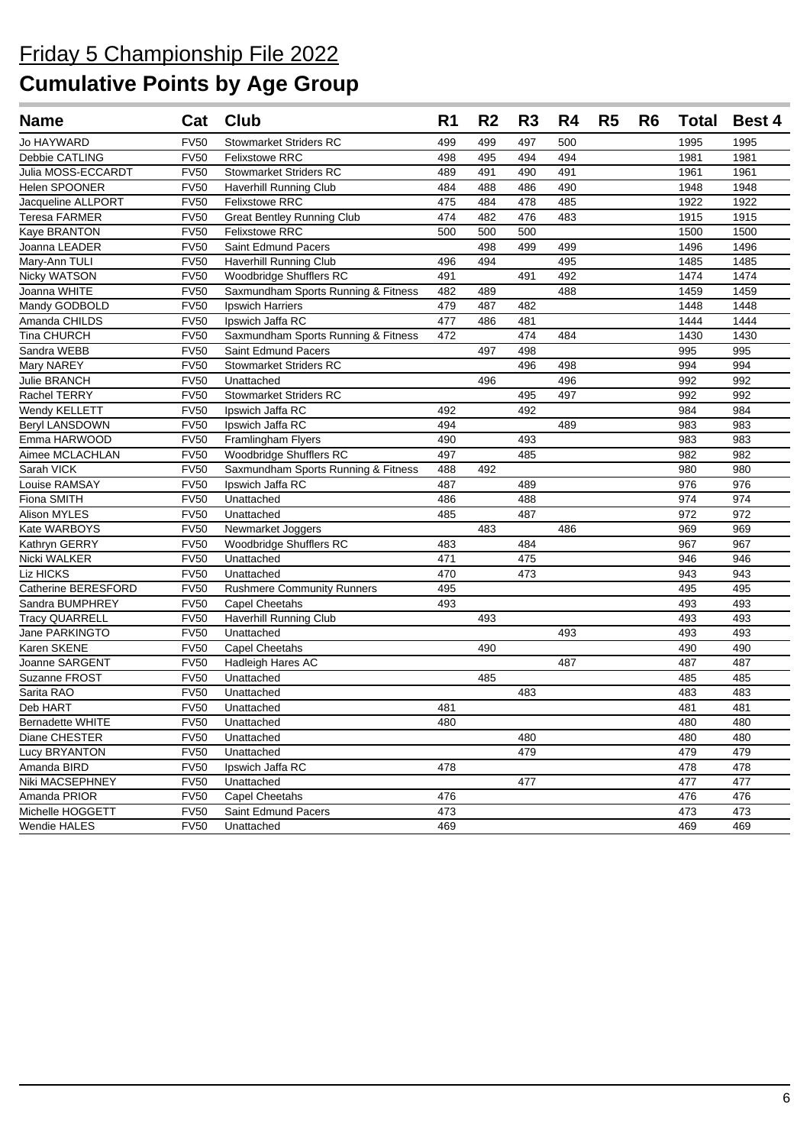| <b>Name</b>           | Cat         | Club                                | R <sub>1</sub> | R <sub>2</sub> | R <sub>3</sub> | R4  | R <sub>5</sub> | R <sub>6</sub> | Total | <b>Best 4</b> |
|-----------------------|-------------|-------------------------------------|----------------|----------------|----------------|-----|----------------|----------------|-------|---------------|
| Jo HAYWARD            | <b>FV50</b> | <b>Stowmarket Striders RC</b>       | 499            | 499            | 497            | 500 |                |                | 1995  | 1995          |
| Debbie CATLING        | <b>FV50</b> | <b>Felixstowe RRC</b>               | 498            | 495            | 494            | 494 |                |                | 1981  | 1981          |
| Julia MOSS-ECCARDT    | <b>FV50</b> | <b>Stowmarket Striders RC</b>       | 489            | 491            | 490            | 491 |                |                | 1961  | 1961          |
| <b>Helen SPOONER</b>  | <b>FV50</b> | Haverhill Running Club              | 484            | 488            | 486            | 490 |                |                | 1948  | 1948          |
| Jacqueline ALLPORT    | <b>FV50</b> | <b>Felixstowe RRC</b>               | 475            | 484            | 478            | 485 |                |                | 1922  | 1922          |
| <b>Teresa FARMER</b>  | <b>FV50</b> | <b>Great Bentley Running Club</b>   | 474            | 482            | 476            | 483 |                |                | 1915  | 1915          |
| Kaye BRANTON          | <b>FV50</b> | <b>Felixstowe RRC</b>               | 500            | 500            | 500            |     |                |                | 1500  | 1500          |
| Joanna LEADER         | <b>FV50</b> | Saint Edmund Pacers                 |                | 498            | 499            | 499 |                |                | 1496  | 1496          |
| Mary-Ann TULI         | <b>FV50</b> | <b>Haverhill Running Club</b>       | 496            | 494            |                | 495 |                |                | 1485  | 1485          |
| <b>Nicky WATSON</b>   | <b>FV50</b> | Woodbridge Shufflers RC             | 491            |                | 491            | 492 |                |                | 1474  | 1474          |
| Joanna WHITE          | <b>FV50</b> | Saxmundham Sports Running & Fitness | 482            | 489            |                | 488 |                |                | 1459  | 1459          |
| Mandy GODBOLD         | <b>FV50</b> | Ipswich Harriers                    | 479            | 487            | 482            |     |                |                | 1448  | 1448          |
| Amanda CHILDS         | <b>FV50</b> | Ipswich Jaffa RC                    | 477            | 486            | 481            |     |                |                | 1444  | 1444          |
| Tina CHURCH           | <b>FV50</b> | Saxmundham Sports Running & Fitness | 472            |                | 474            | 484 |                |                | 1430  | 1430          |
| Sandra WEBB           | <b>FV50</b> | Saint Edmund Pacers                 |                | 497            | 498            |     |                |                | 995   | 995           |
| Mary NAREY            | <b>FV50</b> | <b>Stowmarket Striders RC</b>       |                |                | 496            | 498 |                |                | 994   | 994           |
| Julie BRANCH          | <b>FV50</b> | Unattached                          |                | 496            |                | 496 |                |                | 992   | 992           |
| Rachel TERRY          | <b>FV50</b> | <b>Stowmarket Striders RC</b>       |                |                | 495            | 497 |                |                | 992   | 992           |
| Wendy KELLETT         | <b>FV50</b> | Ipswich Jaffa RC                    | 492            |                | 492            |     |                |                | 984   | 984           |
| <b>Beryl LANSDOWN</b> | <b>FV50</b> | Ipswich Jaffa RC                    | 494            |                |                | 489 |                |                | 983   | 983           |
| Emma HARWOOD          | <b>FV50</b> | Framlingham Flyers                  | 490            |                | 493            |     |                |                | 983   | 983           |
| Aimee MCLACHLAN       | <b>FV50</b> | Woodbridge Shufflers RC             | 497            |                | 485            |     |                |                | 982   | 982           |
| Sarah VICK            | <b>FV50</b> | Saxmundham Sports Running & Fitness | 488            | 492            |                |     |                |                | 980   | 980           |
| Louise RAMSAY         | <b>FV50</b> | Ipswich Jaffa RC                    | 487            |                | 489            |     |                |                | 976   | 976           |
| Fiona SMITH           | <b>FV50</b> | Unattached                          | 486            |                | 488            |     |                |                | 974   | 974           |
| Alison MYLES          | <b>FV50</b> | Unattached                          | 485            |                | 487            |     |                |                | 972   | 972           |
| Kate WARBOYS          | <b>FV50</b> | Newmarket Joggers                   |                | 483            |                | 486 |                |                | 969   | 969           |
| Kathryn GERRY         | <b>FV50</b> | Woodbridge Shufflers RC             | 483            |                | 484            |     |                |                | 967   | 967           |
| Nicki WALKER          | <b>FV50</b> | Unattached                          | 471            |                | 475            |     |                |                | 946   | 946           |
| Liz HICKS             | <b>FV50</b> | Unattached                          | 470            |                | 473            |     |                |                | 943   | 943           |
| Catherine BERESFORD   | <b>FV50</b> | <b>Rushmere Community Runners</b>   | 495            |                |                |     |                |                | 495   | 495           |
| Sandra BUMPHREY       | <b>FV50</b> | Capel Cheetahs                      | 493            |                |                |     |                |                | 493   | 493           |
| <b>Tracy QUARRELL</b> | <b>FV50</b> | Haverhill Running Club              |                | 493            |                |     |                |                | 493   | 493           |
| Jane PARKINGTO        | <b>FV50</b> | Unattached                          |                |                |                | 493 |                |                | 493   | 493           |
| Karen SKENE           | <b>FV50</b> | Capel Cheetahs                      |                | 490            |                |     |                |                | 490   | 490           |
| Joanne SARGENT        | <b>FV50</b> | Hadleigh Hares AC                   |                |                |                | 487 |                |                | 487   | 487           |
| Suzanne FROST         | <b>FV50</b> | Unattached                          |                | 485            |                |     |                |                | 485   | 485           |
| Sarita RAO            | <b>FV50</b> | Unattached                          |                |                | 483            |     |                |                | 483   | 483           |
| Deb HART              | <b>FV50</b> | Unattached                          | 481            |                |                |     |                |                | 481   | 481           |
| Bernadette WHITE      | FV50        | Unattached                          | 480            |                |                |     |                |                | 480   | 480           |
| Diane CHESTER         | <b>FV50</b> | Unattached                          |                |                | 480            |     |                |                | 480   | 480           |
| Lucy BRYANTON         | <b>FV50</b> | Unattached                          |                |                | 479            |     |                |                | 479   | 479           |
| Amanda BIRD           | <b>FV50</b> | Ipswich Jaffa RC                    | 478            |                |                |     |                |                | 478   | 478           |
| Niki MACSEPHNEY       | <b>FV50</b> | Unattached                          |                |                | 477            |     |                |                | 477   | 477           |
| Amanda PRIOR          | <b>FV50</b> | Capel Cheetahs                      | 476            |                |                |     |                |                | 476   | 476           |
| Michelle HOGGETT      | <b>FV50</b> | Saint Edmund Pacers                 | 473            |                |                |     |                |                | 473   | 473           |
| <b>Wendie HALES</b>   | <b>FV50</b> | Unattached                          | 469            |                |                |     |                |                | 469   | 469           |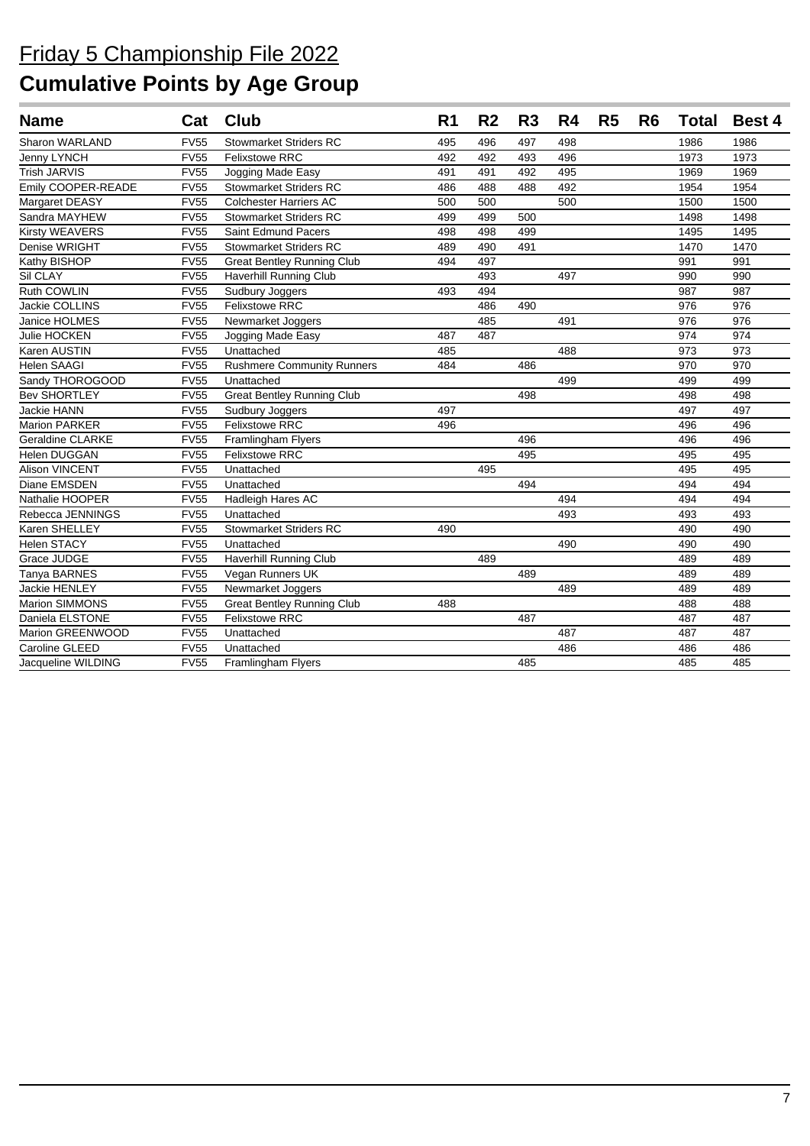| <b>Name</b>             | Cat         | <b>Club</b>                       | R <sub>1</sub> | R <sub>2</sub> | R <sub>3</sub> | R4  | R <sub>5</sub> | R <sub>6</sub> |      | <b>Total Best 4</b> |
|-------------------------|-------------|-----------------------------------|----------------|----------------|----------------|-----|----------------|----------------|------|---------------------|
| Sharon WARLAND          | <b>FV55</b> | <b>Stowmarket Striders RC</b>     | 495            | 496            | 497            | 498 |                |                | 1986 | 1986                |
| Jenny LYNCH             | <b>FV55</b> | <b>Felixstowe RRC</b>             | 492            | 492            | 493            | 496 |                |                | 1973 | 1973                |
| <b>Trish JARVIS</b>     | <b>FV55</b> | Jogging Made Easy                 | 491            | 491            | 492            | 495 |                |                | 1969 | 1969                |
| Emily COOPER-READE      | <b>FV55</b> | <b>Stowmarket Striders RC</b>     | 486            | 488            | 488            | 492 |                |                | 1954 | 1954                |
| Margaret DEASY          | <b>FV55</b> | <b>Colchester Harriers AC</b>     | 500            | 500            |                | 500 |                |                | 1500 | 1500                |
| Sandra MAYHEW           | <b>FV55</b> | <b>Stowmarket Striders RC</b>     | 499            | 499            | 500            |     |                |                | 1498 | 1498                |
| <b>Kirsty WEAVERS</b>   | <b>FV55</b> | <b>Saint Edmund Pacers</b>        | 498            | 498            | 499            |     |                |                | 1495 | 1495                |
| Denise WRIGHT           | <b>FV55</b> | <b>Stowmarket Striders RC</b>     | 489            | 490            | 491            |     |                |                | 1470 | 1470                |
| Kathy BISHOP            | <b>FV55</b> | <b>Great Bentley Running Club</b> | 494            | 497            |                |     |                |                | 991  | 991                 |
| Sil CLAY                | <b>FV55</b> | <b>Haverhill Running Club</b>     |                | 493            |                | 497 |                |                | 990  | 990                 |
| Ruth COWLIN             | <b>FV55</b> | Sudbury Joggers                   | 493            | 494            |                |     |                |                | 987  | 987                 |
| Jackie COLLINS          | <b>FV55</b> | <b>Felixstowe RRC</b>             |                | 486            | 490            |     |                |                | 976  | 976                 |
| Janice HOLMES           | <b>FV55</b> | Newmarket Joggers                 |                | 485            |                | 491 |                |                | 976  | 976                 |
| Julie HOCKEN            | <b>FV55</b> | Jogging Made Easy                 | 487            | 487            |                |     |                |                | 974  | 974                 |
| Karen AUSTIN            | <b>FV55</b> | Unattached                        | 485            |                |                | 488 |                |                | 973  | 973                 |
| <b>Helen SAAGI</b>      | FV55        | <b>Rushmere Community Runners</b> | 484            |                | 486            |     |                |                | 970  | 970                 |
| Sandy THOROGOOD         | <b>FV55</b> | Unattached                        |                |                |                | 499 |                |                | 499  | 499                 |
| <b>Bev SHORTLEY</b>     | <b>FV55</b> | <b>Great Bentley Running Club</b> |                |                | 498            |     |                |                | 498  | 498                 |
| Jackie HANN             | <b>FV55</b> | Sudbury Joggers                   | 497            |                |                |     |                |                | 497  | 497                 |
| <b>Marion PARKER</b>    | <b>FV55</b> | <b>Felixstowe RRC</b>             | 496            |                |                |     |                |                | 496  | 496                 |
| <b>Geraldine CLARKE</b> | <b>FV55</b> | <b>Framlingham Flyers</b>         |                |                | 496            |     |                |                | 496  | 496                 |
| Helen DUGGAN            | <b>FV55</b> | <b>Felixstowe RRC</b>             |                |                | 495            |     |                |                | 495  | 495                 |
| <b>Alison VINCENT</b>   | <b>FV55</b> | Unattached                        |                | 495            |                |     |                |                | 495  | 495                 |
| Diane EMSDEN            | <b>FV55</b> | Unattached                        |                |                | 494            |     |                |                | 494  | 494                 |
| Nathalie HOOPER         | <b>FV55</b> | Hadleigh Hares AC                 |                |                |                | 494 |                |                | 494  | 494                 |
| Rebecca JENNINGS        | <b>FV55</b> | Unattached                        |                |                |                | 493 |                |                | 493  | 493                 |
| Karen SHELLEY           | <b>FV55</b> | <b>Stowmarket Striders RC</b>     | 490            |                |                |     |                |                | 490  | 490                 |
| <b>Helen STACY</b>      | <b>FV55</b> | Unattached                        |                |                |                | 490 |                |                | 490  | 490                 |
| Grace JUDGE             | <b>FV55</b> | <b>Haverhill Running Club</b>     |                | 489            |                |     |                |                | 489  | 489                 |
| Tanya BARNES            | <b>FV55</b> | Vegan Runners UK                  |                |                | 489            |     |                |                | 489  | 489                 |
| <b>Jackie HENLEY</b>    | <b>FV55</b> | Newmarket Joggers                 |                |                |                | 489 |                |                | 489  | 489                 |
| Marion SIMMONS          | <b>FV55</b> | <b>Great Bentley Running Club</b> | 488            |                |                |     |                |                | 488  | 488                 |
| Daniela ELSTONE         | <b>FV55</b> | <b>Felixstowe RRC</b>             |                |                | 487            |     |                |                | 487  | 487                 |
| Marion GREENWOOD        | <b>FV55</b> | Unattached                        |                |                |                | 487 |                |                | 487  | 487                 |
| Caroline GLEED          | <b>FV55</b> | Unattached                        |                |                |                | 486 |                |                | 486  | 486                 |
| Jacqueline WILDING      | <b>FV55</b> | <b>Framlingham Flyers</b>         |                |                | 485            |     |                |                | 485  | 485                 |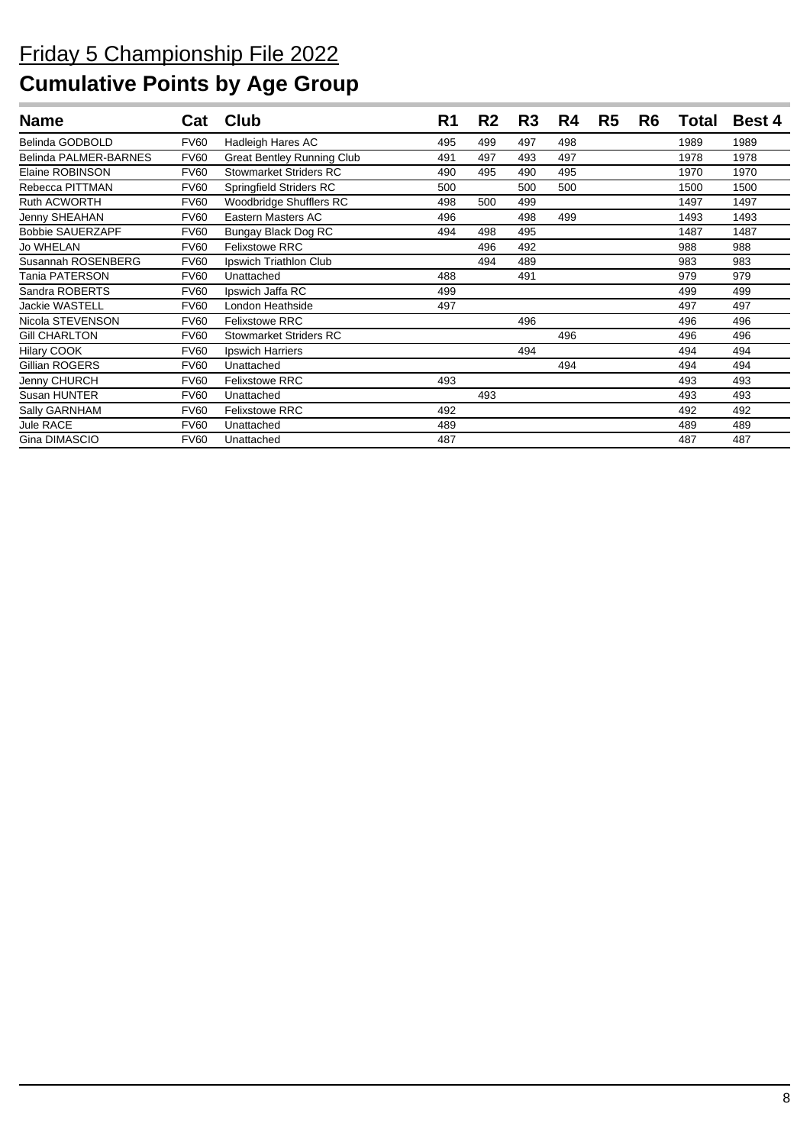| <b>Name</b>             | Cat         | Club                              | R <sub>1</sub> | R <sub>2</sub> | R <sub>3</sub> | R4  | R <sub>5</sub> | R <sub>6</sub> | Total | <b>Best 4</b> |
|-------------------------|-------------|-----------------------------------|----------------|----------------|----------------|-----|----------------|----------------|-------|---------------|
| Belinda GODBOLD         | <b>FV60</b> | Hadleigh Hares AC                 | 495            | 499            | 497            | 498 |                |                | 1989  | 1989          |
| Belinda PALMER-BARNES   | <b>FV60</b> | <b>Great Bentley Running Club</b> | 491            | 497            | 493            | 497 |                |                | 1978  | 1978          |
| Elaine ROBINSON         | <b>FV60</b> | <b>Stowmarket Striders RC</b>     | 490            | 495            | 490            | 495 |                |                | 1970  | 1970          |
| Rebecca PITTMAN         | <b>FV60</b> | <b>Springfield Striders RC</b>    | 500            |                | 500            | 500 |                |                | 1500  | 1500          |
| <b>Ruth ACWORTH</b>     | <b>FV60</b> | Woodbridge Shufflers RC           | 498            | 500            | 499            |     |                |                | 1497  | 1497          |
| Jenny SHEAHAN           | <b>FV60</b> | Eastern Masters AC                | 496            |                | 498            | 499 |                |                | 1493  | 1493          |
| <b>Bobbie SAUERZAPF</b> | <b>FV60</b> | Bungay Black Dog RC               | 494            | 498            | 495            |     |                |                | 1487  | 1487          |
| <b>Jo WHELAN</b>        | <b>FV60</b> | <b>Felixstowe RRC</b>             |                | 496            | 492            |     |                |                | 988   | 988           |
| Susannah ROSENBERG      | <b>FV60</b> | Ipswich Triathlon Club            |                | 494            | 489            |     |                |                | 983   | 983           |
| Tania PATERSON          | <b>FV60</b> | Unattached                        | 488            |                | 491            |     |                |                | 979   | 979           |
| Sandra ROBERTS          | <b>FV60</b> | Ipswich Jaffa RC                  | 499            |                |                |     |                |                | 499   | 499           |
| <b>Jackie WASTELL</b>   | <b>FV60</b> | London Heathside                  | 497            |                |                |     |                |                | 497   | 497           |
| Nicola STEVENSON        | <b>FV60</b> | <b>Felixstowe RRC</b>             |                |                | 496            |     |                |                | 496   | 496           |
| <b>Gill CHARLTON</b>    | <b>FV60</b> | <b>Stowmarket Striders RC</b>     |                |                |                | 496 |                |                | 496   | 496           |
| <b>Hilary COOK</b>      | <b>FV60</b> | Ipswich Harriers                  |                |                | 494            |     |                |                | 494   | 494           |
| Gillian ROGERS          | <b>FV60</b> | Unattached                        |                |                |                | 494 |                |                | 494   | 494           |
| Jenny CHURCH            | <b>FV60</b> | <b>Felixstowe RRC</b>             | 493            |                |                |     |                |                | 493   | 493           |
| Susan HUNTER            | <b>FV60</b> | Unattached                        |                | 493            |                |     |                |                | 493   | 493           |
| Sally GARNHAM           | <b>FV60</b> | <b>Felixstowe RRC</b>             | 492            |                |                |     |                |                | 492   | 492           |
| Jule RACE               | <b>FV60</b> | Unattached                        | 489            |                |                |     |                |                | 489   | 489           |
| Gina DIMASCIO           | <b>FV60</b> | Unattached                        | 487            |                |                |     |                |                | 487   | 487           |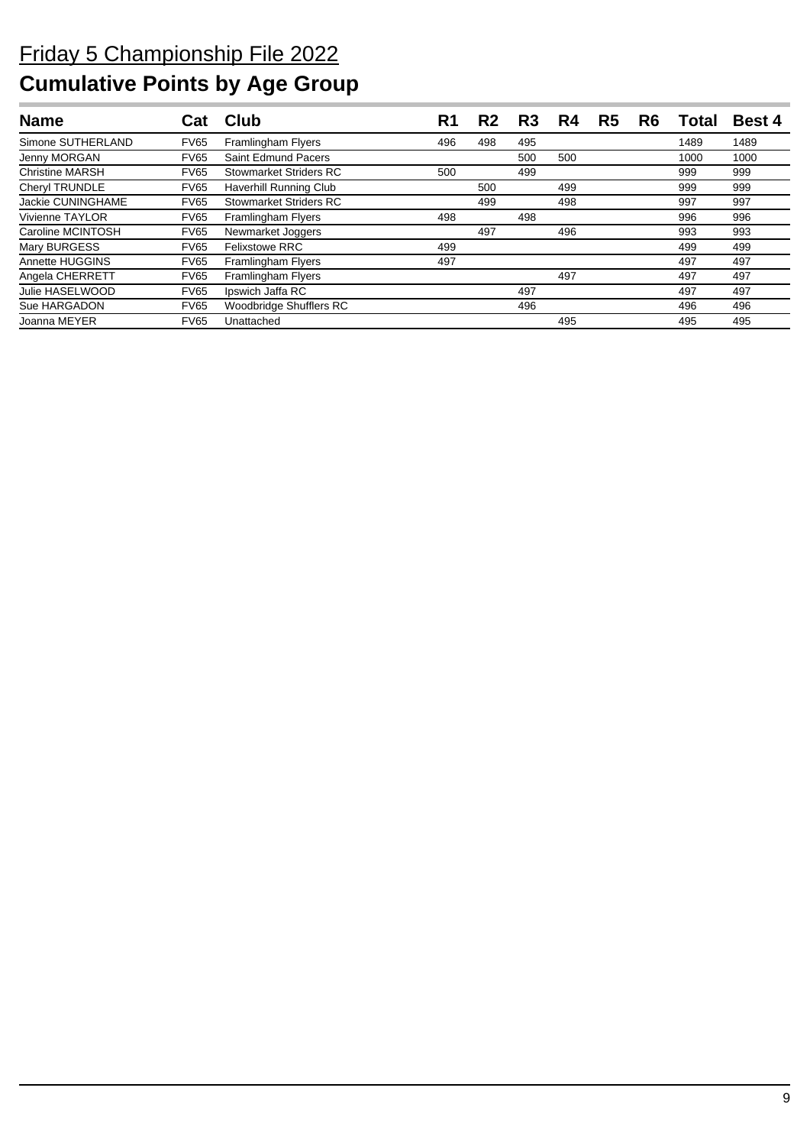| <b>Name</b>            | Cat         | Club                      | R1  | R2  | R3  | R4  | R5 | R6 | Total | <b>Best 4</b> |
|------------------------|-------------|---------------------------|-----|-----|-----|-----|----|----|-------|---------------|
| Simone SUTHERLAND      | <b>FV65</b> | Framlingham Flyers        | 496 | 498 | 495 |     |    |    | 1489  | 1489          |
| Jenny MORGAN           | <b>FV65</b> | Saint Edmund Pacers       |     |     | 500 | 500 |    |    | 1000  | 1000          |
| <b>Christine MARSH</b> | <b>FV65</b> | Stowmarket Striders RC    | 500 |     | 499 |     |    |    | 999   | 999           |
| Cheryl TRUNDLE         | <b>FV65</b> | Haverhill Running Club    |     | 500 |     | 499 |    |    | 999   | 999           |
| Jackie CUNINGHAME      | <b>FV65</b> | Stowmarket Striders RC    |     | 499 |     | 498 |    |    | 997   | 997           |
| <b>Vivienne TAYLOR</b> | <b>FV65</b> | <b>Framlingham Flyers</b> | 498 |     | 498 |     |    |    | 996   | 996           |
| Caroline MCINTOSH      | <b>FV65</b> | Newmarket Joggers         |     | 497 |     | 496 |    |    | 993   | 993           |
| Mary BURGESS           | <b>FV65</b> | <b>Felixstowe RRC</b>     | 499 |     |     |     |    |    | 499   | 499           |
| Annette HUGGINS        | <b>FV65</b> | Framlingham Flyers        | 497 |     |     |     |    |    | 497   | 497           |
| Angela CHERRETT        | <b>FV65</b> | Framlingham Flyers        |     |     |     | 497 |    |    | 497   | 497           |
| Julie HASELWOOD        | <b>FV65</b> | Ipswich Jaffa RC          |     |     | 497 |     |    |    | 497   | 497           |
| Sue HARGADON           | <b>FV65</b> | Woodbridge Shufflers RC   |     |     | 496 |     |    |    | 496   | 496           |
| Joanna MEYER           | <b>FV65</b> | Unattached                |     |     |     | 495 |    |    | 495   | 495           |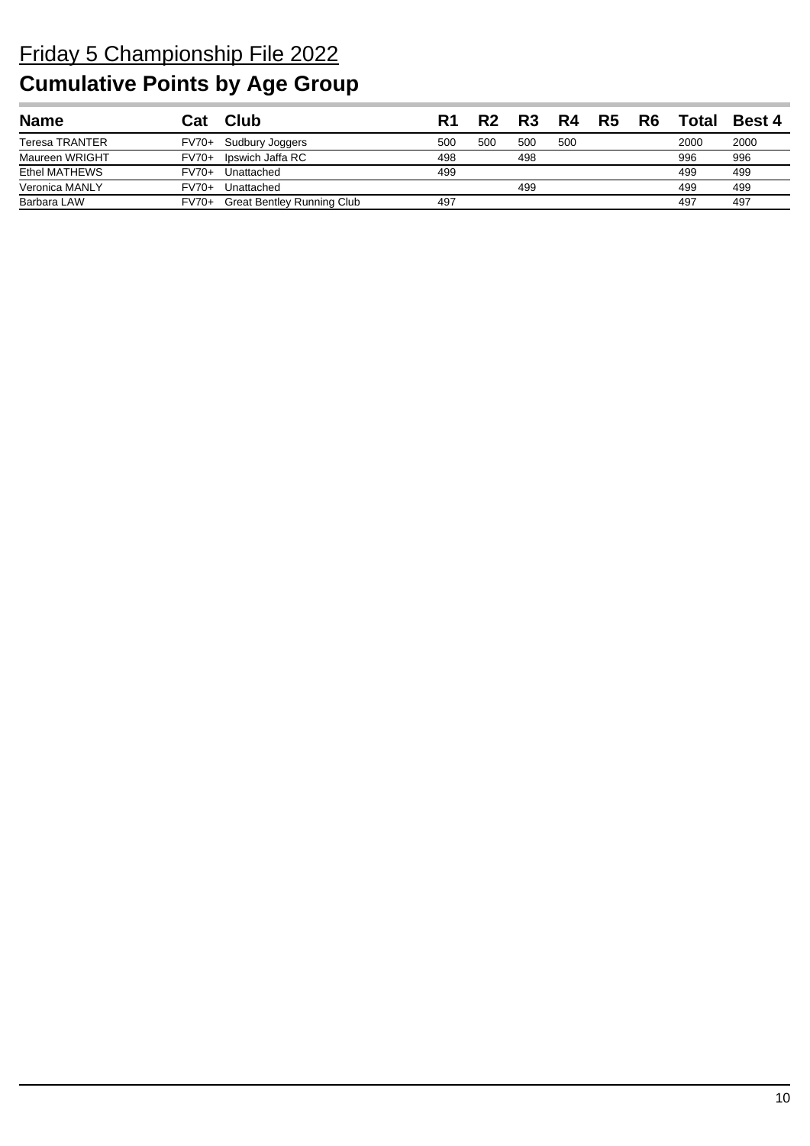| <b>Name</b>           | Cat     | <b>Club</b>                       | R1  | R?  | R <sub>3</sub> | R4  | R5 | R6 | Total | <b>Best 4</b> |
|-----------------------|---------|-----------------------------------|-----|-----|----------------|-----|----|----|-------|---------------|
| <b>Teresa TRANTER</b> | FV70+   | Sudbury Joggers                   | 500 | 500 | 500            | 500 |    |    | 2000  | 2000          |
| Maureen WRIGHT        | $FV70+$ | Ipswich Jaffa RC                  | 498 |     | 498            |     |    |    | 996   | 996           |
| Ethel MATHEWS         | $FV70+$ | Unattached                        | 499 |     |                |     |    |    | 499   | 499           |
| Veronica MANLY        | $FV70+$ | Unattached                        |     |     | 499            |     |    |    | 499   | 499           |
| Barbara LAW           | FV70+   | <b>Great Bentley Running Club</b> | 497 |     |                |     |    |    | 497   | 497           |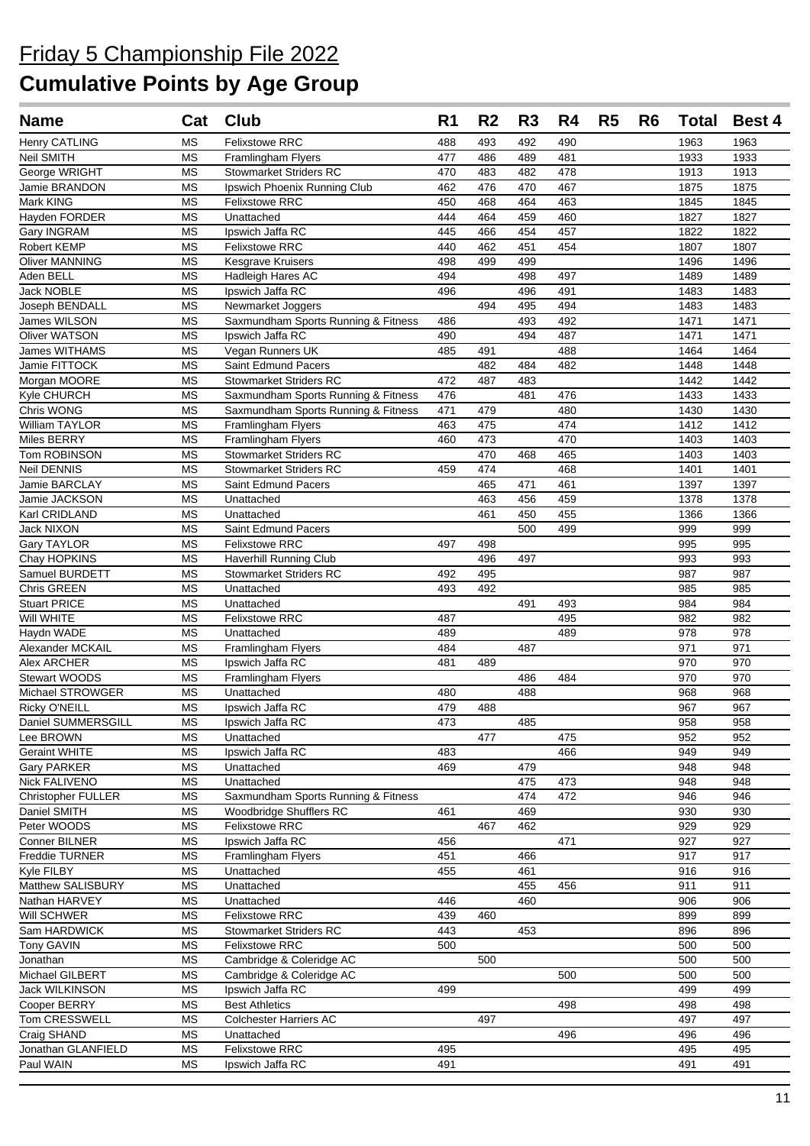| <b>Name</b>                        | Cat                    | <b>Club</b>                                              | R <sub>1</sub> | R <sub>2</sub> | R <sub>3</sub> | R4         | R <sub>5</sub> | R <sub>6</sub> | <b>Total</b> | <b>Best 4</b> |
|------------------------------------|------------------------|----------------------------------------------------------|----------------|----------------|----------------|------------|----------------|----------------|--------------|---------------|
| <b>Henry CATLING</b>               | <b>MS</b>              | Felixstowe RRC                                           | 488            | 493            | 492            | 490        |                |                | 1963         | 1963          |
| Neil SMITH                         | <b>MS</b>              | <b>Framlingham Flyers</b>                                | 477            | 486            | 489            | 481        |                |                | 1933         | 1933          |
| George WRIGHT                      | MS                     | <b>Stowmarket Striders RC</b>                            | 470            | 483            | 482            | 478        |                |                | 1913         | 1913          |
| Jamie BRANDON                      | <b>MS</b>              | Ipswich Phoenix Running Club                             | 462            | 476            | 470            | 467        |                |                | 1875         | 1875          |
| Mark KING                          | <b>MS</b>              | <b>Felixstowe RRC</b>                                    | 450            | 468            | 464            | 463        |                |                | 1845         | 1845          |
| Hayden FORDER                      | <b>MS</b>              | Unattached                                               | 444            | 464            | 459            | 460        |                |                | 1827         | 1827          |
| Gary INGRAM                        | <b>MS</b>              | Ipswich Jaffa RC                                         | 445            | 466            | 454            | 457        |                |                | 1822         | 1822          |
| Robert KEMP                        | <b>MS</b>              | <b>Felixstowe RRC</b>                                    | 440            | 462            | 451            | 454        |                |                | 1807         | 1807          |
| <b>Oliver MANNING</b>              | <b>MS</b>              | Kesgrave Kruisers                                        | 498            | 499            | 499            |            |                |                | 1496         | 1496          |
| Aden BELL                          | <b>MS</b>              | Hadleigh Hares AC                                        | 494            |                | 498            | 497        |                |                | 1489         | 1489          |
| <b>Jack NOBLE</b>                  | <b>MS</b><br><b>MS</b> | Ipswich Jaffa RC                                         | 496            | 494            | 496<br>495     | 491<br>494 |                |                | 1483<br>1483 | 1483<br>1483  |
| Joseph BENDALL<br>James WILSON     | ΜS                     | Newmarket Joggers<br>Saxmundham Sports Running & Fitness | 486            |                | 493            | 492        |                |                | 1471         | 1471          |
| Oliver WATSON                      | <b>MS</b>              | Ipswich Jaffa RC                                         | 490            |                | 494            | 487        |                |                | 1471         | 1471          |
| James WITHAMS                      | <b>MS</b>              | Vegan Runners UK                                         | 485            | 491            |                | 488        |                |                | 1464         | 1464          |
| Jamie FITTOCK                      | <b>MS</b>              | Saint Edmund Pacers                                      |                | 482            | 484            | 482        |                |                | 1448         | 1448          |
| Morgan MOORE                       | <b>MS</b>              | <b>Stowmarket Striders RC</b>                            | 472            | 487            | 483            |            |                |                | 1442         | 1442          |
| Kyle CHURCH                        | <b>MS</b>              | Saxmundham Sports Running & Fitness                      | 476            |                | 481            | 476        |                |                | 1433         | 1433          |
| Chris WONG                         | <b>MS</b>              | Saxmundham Sports Running & Fitness                      | 471            | 479            |                | 480        |                |                | 1430         | 1430          |
| William TAYLOR                     | <b>MS</b>              | Framlingham Flyers                                       | 463            | 475            |                | 474        |                |                | 1412         | 1412          |
| Miles BERRY                        | <b>MS</b>              | Framlingham Flyers                                       | 460            | 473            |                | 470        |                |                | 1403         | 1403          |
| Tom ROBINSON                       | <b>MS</b>              | <b>Stowmarket Striders RC</b>                            |                | 470            | 468            | 465        |                |                | 1403         | 1403          |
| <b>Neil DENNIS</b>                 | <b>MS</b>              | <b>Stowmarket Striders RC</b>                            | 459            | 474            |                | 468        |                |                | 1401         | 1401          |
| Jamie BARCLAY                      | ΜS                     | Saint Edmund Pacers                                      |                | 465            | 471            | 461        |                |                | 1397         | 1397          |
| Jamie JACKSON                      | <b>MS</b>              | Unattached                                               |                | 463            | 456            | 459        |                |                | 1378         | 1378          |
| Karl CRIDLAND                      | <b>MS</b>              | Unattached                                               |                | 461            | 450            | 455        |                |                | 1366         | 1366          |
| Jack NIXON                         | <b>MS</b>              | Saint Edmund Pacers                                      |                |                | 500            | 499        |                |                | 999          | 999           |
| Gary TAYLOR                        | <b>MS</b>              | Felixstowe RRC                                           | 497            | 498            |                |            |                |                | 995          | 995           |
| Chay HOPKINS                       | <b>MS</b>              | <b>Haverhill Running Club</b>                            |                | 496            | 497            |            |                |                | 993          | 993           |
| Samuel BURDETT                     | <b>MS</b><br><b>MS</b> | <b>Stowmarket Striders RC</b><br>Unattached              | 492            | 495            |                |            |                |                | 987          | 987           |
| Chris GREEN<br><b>Stuart PRICE</b> | <b>MS</b>              | Unattached                                               | 493            | 492            | 491            | 493        |                |                | 985<br>984   | 985<br>984    |
| Will WHITE                         | <b>MS</b>              | <b>Felixstowe RRC</b>                                    | 487            |                |                | 495        |                |                | 982          | 982           |
| Haydn WADE                         | <b>MS</b>              | Unattached                                               | 489            |                |                | 489        |                |                | 978          | 978           |
| Alexander MCKAIL                   | <b>MS</b>              | Framlingham Flyers                                       | 484            |                | 487            |            |                |                | 971          | 971           |
| Alex ARCHER                        | <b>MS</b>              | Ipswich Jaffa RC                                         | 481            | 489            |                |            |                |                | 970          | 970           |
| <b>Stewart WOODS</b>               | <b>MS</b>              | Framlingham Flyers                                       |                |                | 486            | 484        |                |                | 970          | 970           |
| Michael STROWGER                   | <b>MS</b>              | Unattached                                               | 480            |                | 488            |            |                |                | 968          | 968           |
| Ricky O'NEILL                      | <b>MS</b>              | Ipswich Jaffa RC                                         | 479            | 488            |                |            |                |                | 967          | 967           |
| Daniel SUMMERSGILL                 | MS                     | Ipswich Jaffa RC                                         | 473            |                | 485            |            |                |                | 958          | 958           |
| Lee BROWN                          | <b>MS</b>              | Unattached                                               |                | 477            |                | 475        |                |                | 952          | 952           |
| <b>Geraint WHITE</b>               | MS                     | Ipswich Jaffa RC                                         | 483            |                |                | 466        |                |                | 949          | 949           |
| <b>Gary PARKER</b>                 | <b>MS</b>              | Unattached                                               | 469            |                | 479            |            |                |                | 948          | 948           |
| Nick FALIVENO                      | <b>MS</b>              | Unattached                                               |                |                | 475            | 473        |                |                | 948          | 948           |
| <b>Christopher FULLER</b>          | <b>MS</b>              | Saxmundham Sports Running & Fitness                      | 461            |                | 474<br>469     | 472        |                |                | 946          | 946<br>930    |
| Daniel SMITH<br>Peter WOODS        | <b>MS</b><br>MS        | Woodbridge Shufflers RC<br><b>Felixstowe RRC</b>         |                | 467            | 462            |            |                |                | 930<br>929   | 929           |
| Conner BILNER                      | MS                     | Ipswich Jaffa RC                                         | 456            |                |                | 471        |                |                | 927          | 927           |
| Freddie TURNER                     | MS                     | Framlingham Flyers                                       | 451            |                | 466            |            |                |                | 917          | 917           |
| Kyle FILBY                         | <b>MS</b>              | Unattached                                               | 455            |                | 461            |            |                |                | 916          | 916           |
| Matthew SALISBURY                  | <b>MS</b>              | Unattached                                               |                |                | 455            | 456        |                |                | 911          | 911           |
| Nathan HARVEY                      | <b>MS</b>              | Unattached                                               | 446            |                | 460            |            |                |                | 906          | 906           |
| Will SCHWER                        | MS                     | <b>Felixstowe RRC</b>                                    | 439            | 460            |                |            |                |                | 899          | 899           |
| Sam HARDWICK                       | <b>MS</b>              | <b>Stowmarket Striders RC</b>                            | 443            |                | 453            |            |                |                | 896          | 896           |
| <b>Tony GAVIN</b>                  | <b>MS</b>              | <b>Felixstowe RRC</b>                                    | 500            |                |                |            |                |                | 500          | 500           |
| Jonathan                           | <b>MS</b>              | Cambridge & Coleridge AC                                 |                | 500            |                |            |                |                | 500          | 500           |
| Michael GILBERT                    | <b>MS</b>              | Cambridge & Coleridge AC                                 |                |                |                | 500        |                |                | 500          | 500           |
| Jack WILKINSON                     | <b>MS</b>              | Ipswich Jaffa RC                                         | 499            |                |                |            |                |                | 499          | 499           |
| Cooper BERRY                       | <b>MS</b>              | <b>Best Athletics</b>                                    |                |                |                | 498        |                |                | 498          | 498           |
| Tom CRESSWELL                      | MS                     | <b>Colchester Harriers AC</b>                            |                | 497            |                |            |                |                | 497          | 497           |
| Craig SHAND                        | MS                     | Unattached                                               |                |                |                | 496        |                |                | 496          | 496           |
| Jonathan GLANFIELD                 | <b>MS</b>              | Felixstowe RRC                                           | 495            |                |                |            |                |                | 495          | 495           |
| Paul WAIN                          | MS                     | Ipswich Jaffa RC                                         | 491            |                |                |            |                |                | 491          | 491           |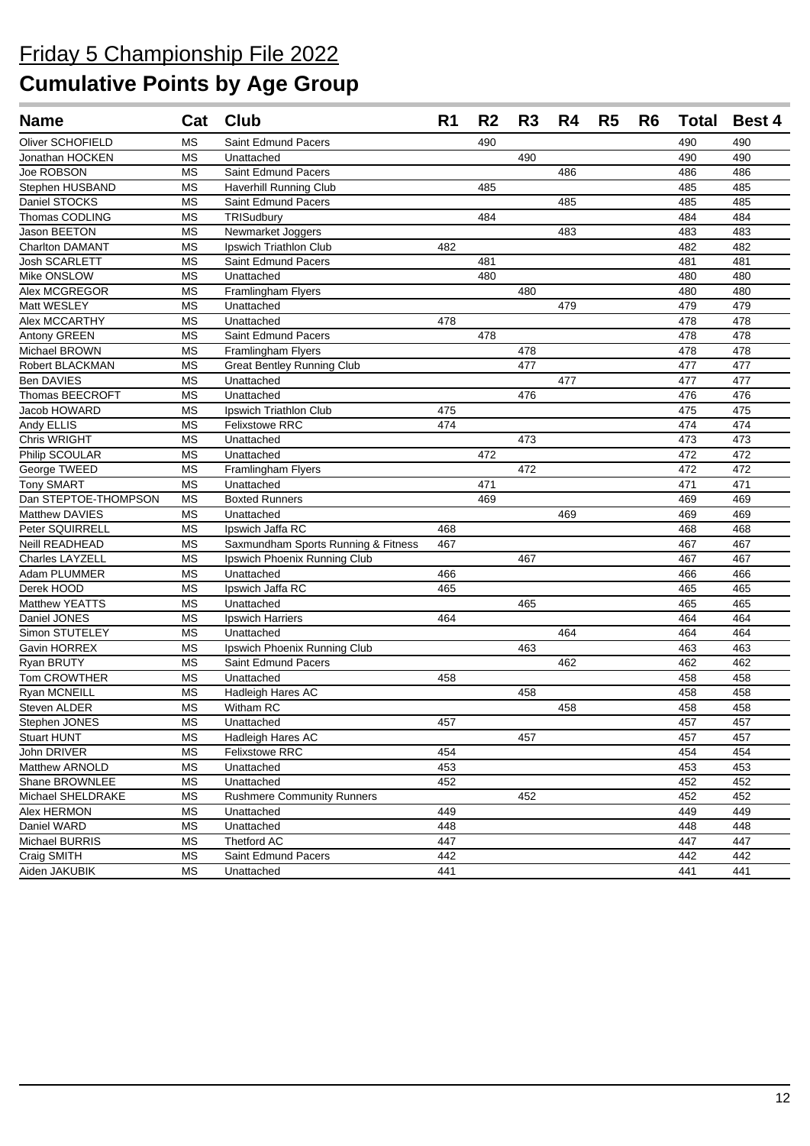| <b>Name</b>            |                        | Cat Club                            | R <sub>1</sub> | R <sub>2</sub> | R3  | R4  | R <sub>5</sub> | R <sub>6</sub> | Total | <b>Best 4</b> |
|------------------------|------------------------|-------------------------------------|----------------|----------------|-----|-----|----------------|----------------|-------|---------------|
| Oliver SCHOFIELD       | ΜS                     | Saint Edmund Pacers                 |                | 490            |     |     |                |                | 490   | 490           |
| Jonathan HOCKEN        | <b>MS</b>              | Unattached                          |                |                | 490 |     |                |                | 490   | 490           |
| Joe ROBSON             | <b>MS</b>              | Saint Edmund Pacers                 |                |                |     | 486 |                |                | 486   | 486           |
| Stephen HUSBAND        | МS                     | <b>Haverhill Running Club</b>       |                | 485            |     |     |                |                | 485   | 485           |
| Daniel STOCKS          | МS                     | Saint Edmund Pacers                 |                |                |     | 485 |                |                | 485   | 485           |
| Thomas CODLING         | <b>MS</b>              | TRISudbury                          |                | 484            |     |     |                |                | 484   | 484           |
| Jason BEETON           | <b>MS</b>              | Newmarket Joggers                   |                |                |     | 483 |                |                | 483   | 483           |
| <b>Charlton DAMANT</b> | <b>MS</b>              | <b>Ipswich Triathlon Club</b>       | 482            |                |     |     |                |                | 482   | 482           |
| Josh SCARLETT          | ΜS                     | Saint Edmund Pacers                 |                | 481            |     |     |                |                | 481   | 481           |
| Mike ONSLOW            | <b>MS</b>              | Unattached                          |                | 480            |     |     |                |                | 480   | 480           |
| Alex MCGREGOR          | <b>MS</b>              | Framlingham Flyers                  |                |                | 480 |     |                |                | 480   | 480           |
| Matt WESLEY            | <b>MS</b>              | Unattached                          |                |                |     | 479 |                |                | 479   | 479           |
| Alex MCCARTHY          | <b>MS</b>              | Unattached                          | 478            |                |     |     |                |                | 478   | 478           |
| Antony GREEN           | <b>MS</b>              | Saint Edmund Pacers                 |                | 478            |     |     |                |                | 478   | 478           |
| Michael BROWN          | <b>MS</b>              | Framlingham Flyers                  |                |                | 478 |     |                |                | 478   | 478           |
| Robert BLACKMAN        | <b>MS</b>              | <b>Great Bentley Running Club</b>   |                |                | 477 |     |                |                | 477   | 477           |
| <b>Ben DAVIES</b>      | <b>MS</b>              | Unattached                          |                |                |     | 477 |                |                | 477   | 477           |
| Thomas BEECROFT        | <b>MS</b>              | Unattached                          |                |                | 476 |     |                |                | 476   | 476           |
| Jacob HOWARD           | <b>MS</b>              | <b>Ipswich Triathlon Club</b>       | 475            |                |     |     |                |                | 475   | 475           |
| Andy ELLIS             | <b>MS</b>              | <b>Felixstowe RRC</b>               | 474            |                |     |     |                |                | 474   | 474           |
| Chris WRIGHT           | <b>MS</b>              | Unattached                          |                |                | 473 |     |                |                | 473   | 473           |
| Philip SCOULAR         | <b>MS</b>              | Unattached                          |                | 472            |     |     |                |                | 472   | 472           |
| George TWEED           | <b>MS</b>              | Framlingham Flyers                  |                |                | 472 |     |                |                | 472   | 472           |
| <b>Tony SMART</b>      | <b>MS</b>              | Unattached                          |                | 471            |     |     |                |                | 471   | 471           |
| Dan STEPTOE-THOMPSON   | <b>MS</b>              | <b>Boxted Runners</b>               |                | 469            |     |     |                |                | 469   | 469           |
| Matthew DAVIES         | MS                     | Unattached                          |                |                |     | 469 |                |                | 469   | 469           |
| Peter SQUIRRELL        | <b>MS</b>              | Ipswich Jaffa RC                    | 468            |                |     |     |                |                | 468   | 468           |
| Neill READHEAD         | <b>MS</b>              | Saxmundham Sports Running & Fitness | 467            |                |     |     |                |                | 467   | 467           |
| Charles LAYZELL        | <b>MS</b>              | Ipswich Phoenix Running Club        |                |                | 467 |     |                |                | 467   | 467           |
| Adam PLUMMER           | <b>MS</b>              | Unattached                          | 466            |                |     |     |                |                | 466   | 466           |
| Derek HOOD             | <b>MS</b>              | Ipswich Jaffa RC                    | 465            |                |     |     |                |                | 465   | 465           |
| Matthew YEATTS         | <b>MS</b>              | Unattached                          |                |                | 465 |     |                |                | 465   | 465           |
| Daniel JONES           | <b>MS</b>              | Ipswich Harriers                    | 464            |                |     |     |                |                | 464   | 464           |
| Simon STUTELEY         | <b>MS</b>              | Unattached                          |                |                |     | 464 |                |                | 464   | 464           |
| Gavin HORREX           | <b>MS</b>              | Ipswich Phoenix Running Club        |                |                | 463 |     |                |                | 463   | 463           |
| Ryan BRUTY             | <b>MS</b>              | Saint Edmund Pacers                 |                |                |     | 462 |                |                | 462   | 462           |
| Tom CROWTHER           | MS                     | Unattached                          | 458            |                |     |     |                |                | 458   | 458           |
| <b>Ryan MCNEILL</b>    | <b>MS</b>              | Hadleigh Hares AC                   |                |                | 458 |     |                |                | 458   | 458           |
| Steven ALDER           | <b>MS</b>              | Witham RC                           |                |                |     | 458 |                |                | 458   | 458           |
| Stephen JONES          | $\overline{\text{MS}}$ | Unattached                          | 457            |                |     |     |                |                | 457   | 457           |
| <b>Stuart HUNT</b>     | <b>MS</b>              | Hadleigh Hares AC                   |                |                | 457 |     |                |                | 457   | 457           |
| John DRIVER            | <b>MS</b>              | <b>Felixstowe RRC</b>               | 454            |                |     |     |                |                | 454   | 454           |
| Matthew ARNOLD         | <b>MS</b>              | Unattached                          | 453            |                |     |     |                |                | 453   | 453           |
| Shane BROWNLEE         | <b>MS</b>              | Unattached                          | 452            |                |     |     |                |                | 452   | 452           |
| Michael SHELDRAKE      | MS                     | <b>Rushmere Community Runners</b>   |                |                | 452 |     |                |                | 452   | 452           |
| Alex HERMON            | MS                     | Unattached                          | 449            |                |     |     |                |                | 449   | 449           |
| Daniel WARD            | <b>MS</b>              | Unattached                          | 448            |                |     |     |                |                | 448   | 448           |
| <b>Michael BURRIS</b>  | <b>MS</b>              | Thetford AC                         | 447            |                |     |     |                |                | 447   | 447           |
| Craig SMITH            | MS                     | Saint Edmund Pacers                 | 442            |                |     |     |                |                | 442   | 442           |
| Aiden JAKUBIK          | МS                     | Unattached                          | 441            |                |     |     |                |                | 441   | 441           |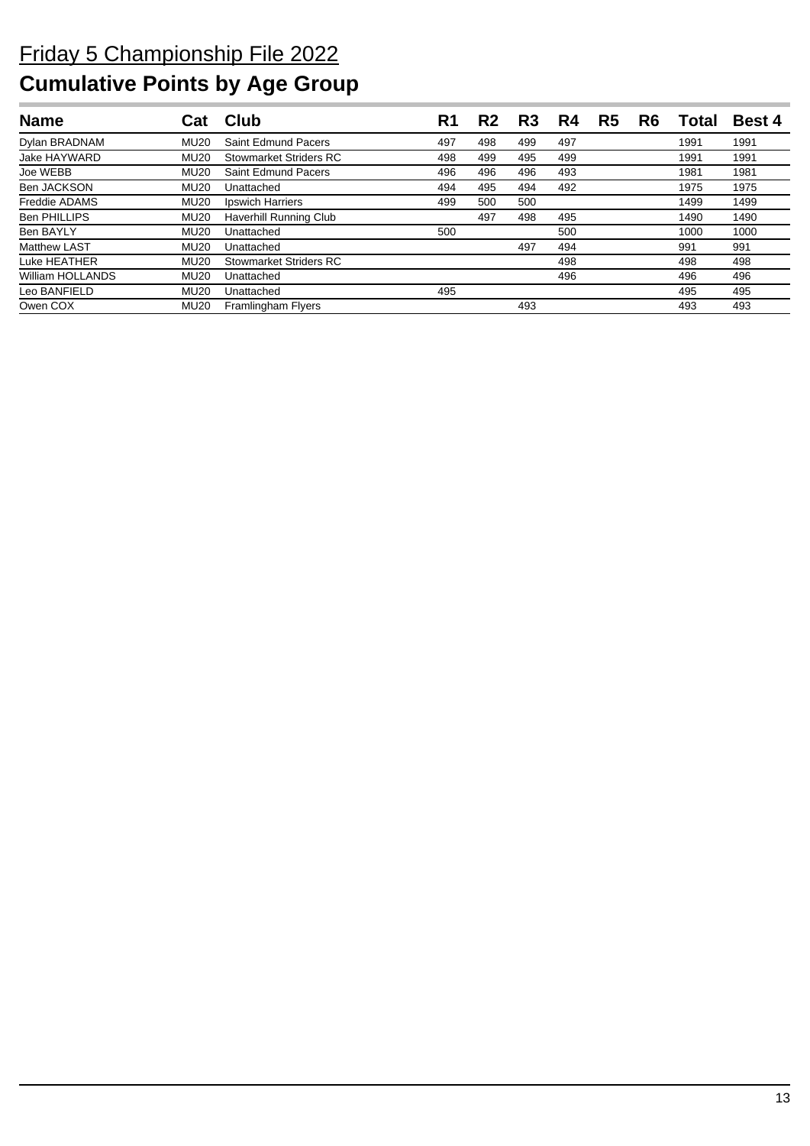| <b>Name</b>          | Car         | Club                      | R1  | R2  | R <sub>3</sub> | R4  | R5 | R6 | Total | <b>Best 4</b> |
|----------------------|-------------|---------------------------|-----|-----|----------------|-----|----|----|-------|---------------|
| Dylan BRADNAM        | <b>MU20</b> | Saint Edmund Pacers       | 497 | 498 | 499            | 497 |    |    | 1991  | 1991          |
| Jake HAYWARD         | <b>MU20</b> | Stowmarket Striders RC    | 498 | 499 | 495            | 499 |    |    | 1991  | 1991          |
| Joe WEBB             | <b>MU20</b> | Saint Edmund Pacers       | 496 | 496 | 496            | 493 |    |    | 1981  | 1981          |
| <b>Ben JACKSON</b>   | <b>MU20</b> | Unattached                | 494 | 495 | 494            | 492 |    |    | 1975  | 1975          |
| <b>Freddie ADAMS</b> | <b>MU20</b> | Ipswich Harriers          | 499 | 500 | 500            |     |    |    | 1499  | 1499          |
| <b>Ben PHILLIPS</b>  | <b>MU20</b> | Haverhill Running Club    |     | 497 | 498            | 495 |    |    | 1490  | 1490          |
| <b>Ben BAYLY</b>     | <b>MU20</b> | Unattached                | 500 |     |                | 500 |    |    | 1000  | 1000          |
| <b>Matthew LAST</b>  | <b>MU20</b> | Unattached                |     |     | 497            | 494 |    |    | 991   | 991           |
| Luke HEATHER         | <b>MU20</b> | Stowmarket Striders RC    |     |     |                | 498 |    |    | 498   | 498           |
| William HOLLANDS     | <b>MU20</b> | Unattached                |     |     |                | 496 |    |    | 496   | 496           |
| Leo BANFIELD         | <b>MU20</b> | Unattached                | 495 |     |                |     |    |    | 495   | 495           |
| Owen COX             | <b>MU20</b> | <b>Framlingham Flyers</b> |     |     | 493            |     |    |    | 493   | 493           |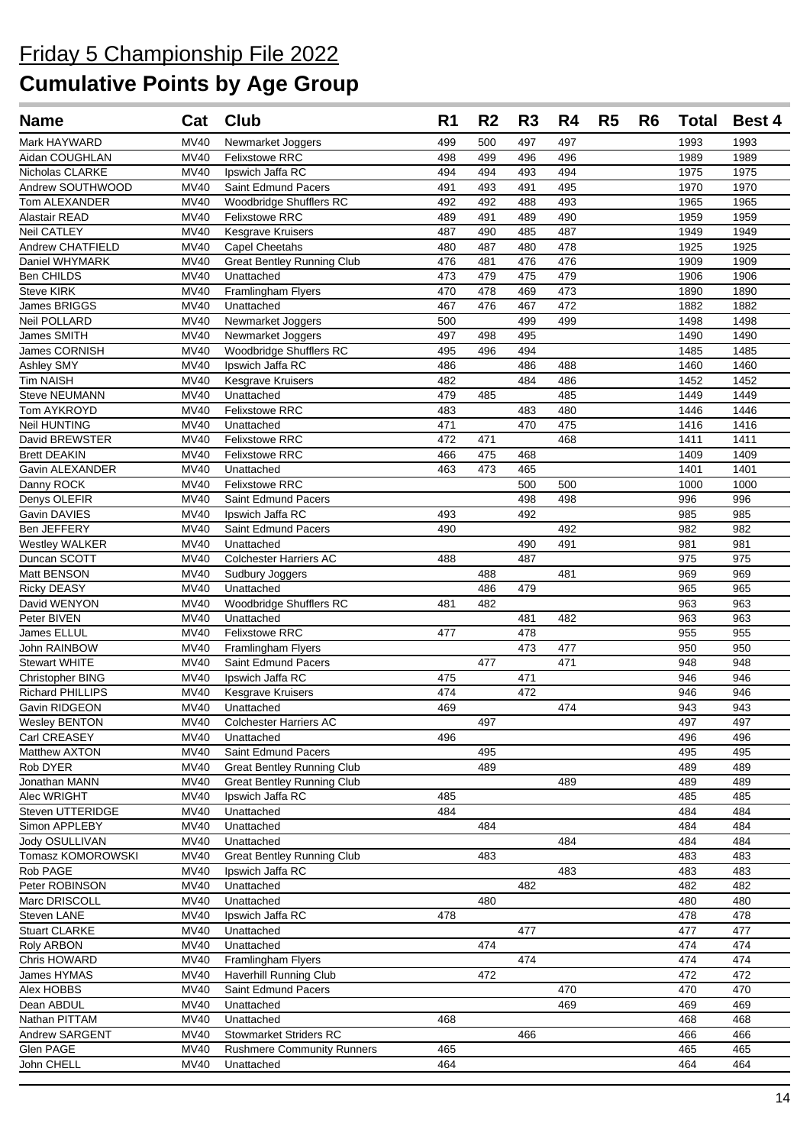| <b>Name</b>                              | Cat                        | <b>Club</b>                       | R <sub>1</sub> | R <sub>2</sub> | R <sub>3</sub> | R4  | R <sub>5</sub> | R <sub>6</sub> | <b>Total</b> | <b>Best 4</b> |
|------------------------------------------|----------------------------|-----------------------------------|----------------|----------------|----------------|-----|----------------|----------------|--------------|---------------|
| Mark HAYWARD                             | <b>MV40</b>                | Newmarket Joggers                 | 499            | 500            | 497            | 497 |                |                | 1993         | 1993          |
| Aidan COUGHLAN                           | <b>MV40</b>                | <b>Felixstowe RRC</b>             | 498            | 499            | 496            | 496 |                |                | 1989         | 1989          |
| Nicholas CLARKE                          | MV40                       | Ipswich Jaffa RC                  | 494            | 494            | 493            | 494 |                |                | 1975         | 1975          |
| Andrew SOUTHWOOD                         | <b>MV40</b>                | Saint Edmund Pacers               | 491            | 493            | 491            | 495 |                |                | 1970         | 1970          |
| Tom ALEXANDER                            | <b>MV40</b>                | Woodbridge Shufflers RC           | 492            | 492            | 488            | 493 |                |                | 1965         | 1965          |
| Alastair READ                            | <b>MV40</b>                | <b>Felixstowe RRC</b>             | 489            | 491            | 489            | 490 |                |                | 1959         | 1959          |
| <b>Neil CATLEY</b>                       | <b>MV40</b>                | Kesgrave Kruisers                 | 487            | 490            | 485            | 487 |                |                | 1949         | 1949          |
| Andrew CHATFIELD                         | <b>MV40</b>                | Capel Cheetahs                    | 480            | 487            | 480            | 478 |                |                | 1925         | 1925          |
| Daniel WHYMARK                           | MV40                       | <b>Great Bentley Running Club</b> | 476            | 481            | 476            | 476 |                |                | 1909         | 1909          |
| Ben CHILDS                               | <b>MV40</b>                | Unattached                        | 473            | 479            | 475            | 479 |                |                | 1906         | 1906          |
| <b>Steve KIRK</b>                        | <b>MV40</b>                | Framlingham Flyers                | 470            | 478            | 469            | 473 |                |                | 1890         | 1890          |
| James BRIGGS                             | <b>MV40</b>                | Unattached                        | 467            | 476            | 467            | 472 |                |                | 1882         | 1882          |
| Neil POLLARD                             | <b>MV40</b>                | Newmarket Joggers                 | 500            |                | 499            | 499 |                |                | 1498         | 1498          |
| James SMITH                              | <b>MV40</b>                | Newmarket Joggers                 | 497            | 498            | 495            |     |                |                | 1490         | 1490          |
| James CORNISH                            | <b>MV40</b><br><b>MV40</b> | Woodbridge Shufflers RC           | 495<br>486     | 496            | 494<br>486     | 488 |                |                | 1485<br>1460 | 1485<br>1460  |
| Ashley SMY<br><b>Tim NAISH</b>           | <b>MV40</b>                | Ipswich Jaffa RC                  | 482            |                | 484            | 486 |                |                | 1452         | 1452          |
| Steve NEUMANN                            | <b>MV40</b>                | Kesgrave Kruisers<br>Unattached   | 479            | 485            |                | 485 |                |                | 1449         | 1449          |
| Tom AYKROYD                              | <b>MV40</b>                | <b>Felixstowe RRC</b>             | 483            |                | 483            | 480 |                |                | 1446         | 1446          |
| Neil HUNTING                             | <b>MV40</b>                | Unattached                        | 471            |                | 470            | 475 |                |                | 1416         | 1416          |
| David BREWSTER                           | <b>MV40</b>                | <b>Felixstowe RRC</b>             | 472            | 471            |                | 468 |                |                | 1411         | 1411          |
| <b>Brett DEAKIN</b>                      | MV40                       | <b>Felixstowe RRC</b>             | 466            | 475            | 468            |     |                |                | 1409         | 1409          |
| Gavin ALEXANDER                          | <b>MV40</b>                | Unattached                        | 463            | 473            | 465            |     |                |                | 1401         | 1401          |
| Danny ROCK                               | MV40                       | <b>Felixstowe RRC</b>             |                |                | 500            | 500 |                |                | 1000         | 1000          |
| Denys OLEFIR                             | <b>MV40</b>                | Saint Edmund Pacers               |                |                | 498            | 498 |                |                | 996          | 996           |
| Gavin DAVIES                             | MV40                       | Ipswich Jaffa RC                  | 493            |                | 492            |     |                |                | 985          | 985           |
| Ben JEFFERY                              | <b>MV40</b>                | Saint Edmund Pacers               | 490            |                |                | 492 |                |                | 982          | 982           |
| Westley WALKER                           | <b>MV40</b>                | Unattached                        |                |                | 490            | 491 |                |                | 981          | 981           |
| Duncan SCOTT                             | <b>MV40</b>                | <b>Colchester Harriers AC</b>     | 488            |                | 487            |     |                |                | 975          | 975           |
| Matt BENSON                              | MV40                       | Sudbury Joggers                   |                | 488            |                | 481 |                |                | 969          | 969           |
| <b>Ricky DEASY</b>                       | <b>MV40</b>                | Unattached                        |                | 486            | 479            |     |                |                | 965          | 965           |
| David WENYON                             | <b>MV40</b>                | Woodbridge Shufflers RC           | 481            | 482            |                |     |                |                | 963          | 963           |
| Peter BIVEN                              | <b>MV40</b>                | Unattached                        |                |                | 481            | 482 |                |                | 963          | 963           |
| James ELLUL                              | <b>MV40</b>                | <b>Felixstowe RRC</b>             | 477            |                | 478            |     |                |                | 955          | 955           |
| John RAINBOW                             | MV40                       | Framlingham Flyers                |                |                | 473            | 477 |                |                | 950          | 950           |
| <b>Stewart WHITE</b>                     | <b>MV40</b>                | Saint Edmund Pacers               |                | 477            |                | 471 |                |                | 948          | 948           |
| Christopher BING                         | <b>MV40</b>                | Ipswich Jaffa RC                  | 475            |                | 471            |     |                |                | 946          | 946           |
| <b>Richard PHILLIPS</b><br>Gavin RIDGEON | <b>MV40</b><br><b>MV40</b> | Kesgrave Kruisers<br>Unattached   | 474<br>469     |                | 472            | 474 |                |                | 946<br>943   | 946<br>943    |
| <b>Wesley BENTON</b>                     | <b>MV40</b>                | <b>Colchester Harriers AC</b>     |                | 497            |                |     |                |                | 497          | 497           |
| Carl CREASEY                             | MV40                       | Unattached                        | 496            |                |                |     |                |                | 496          | 496           |
| Matthew AXTON                            | <b>MV40</b>                | Saint Edmund Pacers               |                | 495            |                |     |                |                | 495          | 495           |
| Rob DYER                                 | <b>MV40</b>                | <b>Great Bentley Running Club</b> |                | 489            |                |     |                |                | 489          | 489           |
| Jonathan MANN                            | <b>MV40</b>                | <b>Great Bentley Running Club</b> |                |                |                | 489 |                |                | 489          | 489           |
| Alec WRIGHT                              | <b>MV40</b>                | Ipswich Jaffa RC                  | 485            |                |                |     |                |                | 485          | 485           |
| Steven UTTERIDGE                         | <b>MV40</b>                | Unattached                        | 484            |                |                |     |                |                | 484          | 484           |
| Simon APPLEBY                            | <b>MV40</b>                | Unattached                        |                | 484            |                |     |                |                | 484          | 484           |
| Jody OSULLIVAN                           | MV40                       | Unattached                        |                |                |                | 484 |                |                | 484          | 484           |
| Tomasz KOMOROWSKI                        | MV40                       | <b>Great Bentley Running Club</b> |                | 483            |                |     |                |                | 483          | 483           |
| Rob PAGE                                 | <b>MV40</b>                | Ipswich Jaffa RC                  |                |                |                | 483 |                |                | 483          | 483           |
| Peter ROBINSON                           | <b>MV40</b>                | Unattached                        |                |                | 482            |     |                |                | 482          | 482           |
| Marc DRISCOLL                            | <b>MV40</b>                | Unattached                        |                | 480            |                |     |                |                | 480          | 480           |
| Steven LANE                              | <b>MV40</b>                | Ipswich Jaffa RC                  | 478            |                |                |     |                |                | 478          | 478           |
| <b>Stuart CLARKE</b>                     | <b>MV40</b>                | Unattached                        |                |                | 477            |     |                |                | 477          | 477           |
| Roly ARBON                               | <b>MV40</b>                | Unattached                        |                | 474            |                |     |                |                | 474          | 474           |
| Chris HOWARD                             | <b>MV40</b>                | Framlingham Flyers                |                |                | 474            |     |                |                | 474          | 474           |
| James HYMAS                              | <b>MV40</b>                | Haverhill Running Club            |                | 472            |                |     |                |                | 472          | 472           |
| Alex HOBBS                               | MV40                       | Saint Edmund Pacers               |                |                |                | 470 |                |                | 470          | 470           |
| Dean ABDUL                               | MV40                       | Unattached                        |                |                |                | 469 |                |                | 469          | 469           |
| Nathan PITTAM                            | MV40                       | Unattached                        | 468            |                |                |     |                |                | 468          | 468           |
| Andrew SARGENT                           | <b>MV40</b>                | <b>Stowmarket Striders RC</b>     |                |                | 466            |     |                |                | 466          | 466           |
| Glen PAGE                                | <b>MV40</b>                | <b>Rushmere Community Runners</b> | 465            |                |                |     |                |                | 465          | 465           |
| John CHELL                               | MV40                       | Unattached                        | 464            |                |                |     |                |                | 464          | 464           |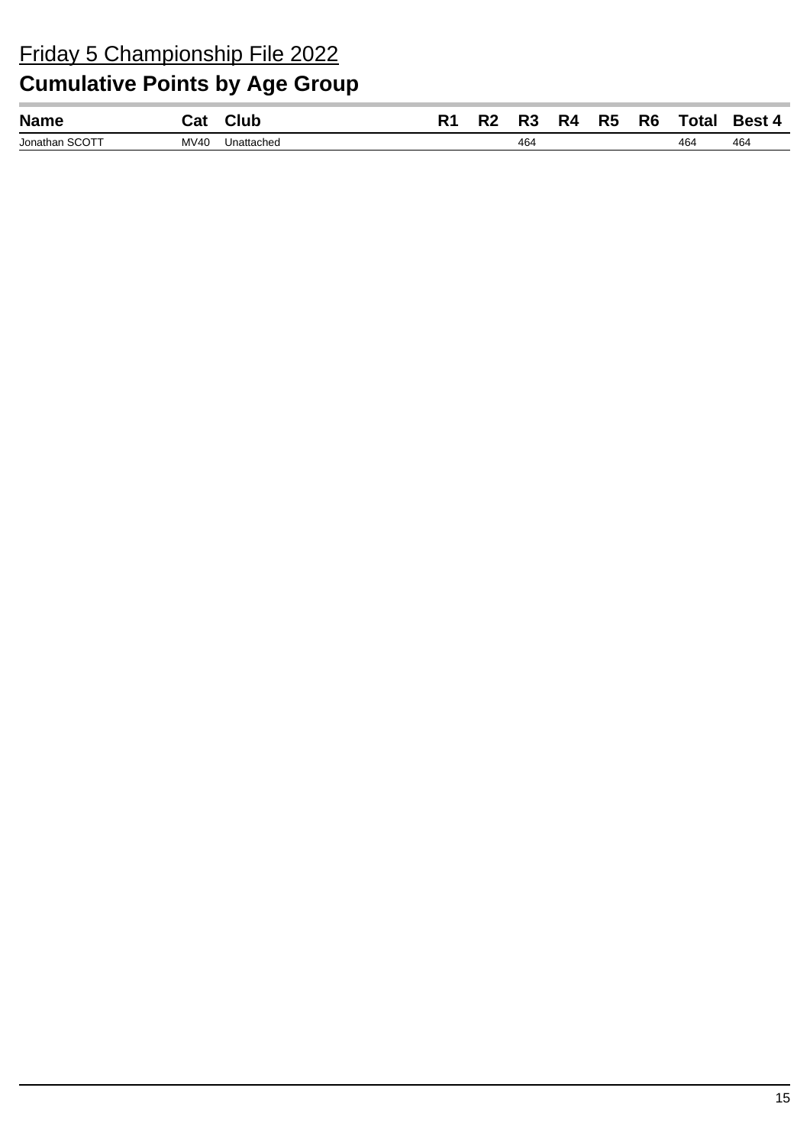| Jonathan SCOTT<br>MV40<br>464<br>464<br>Unattached | 464 |
|----------------------------------------------------|-----|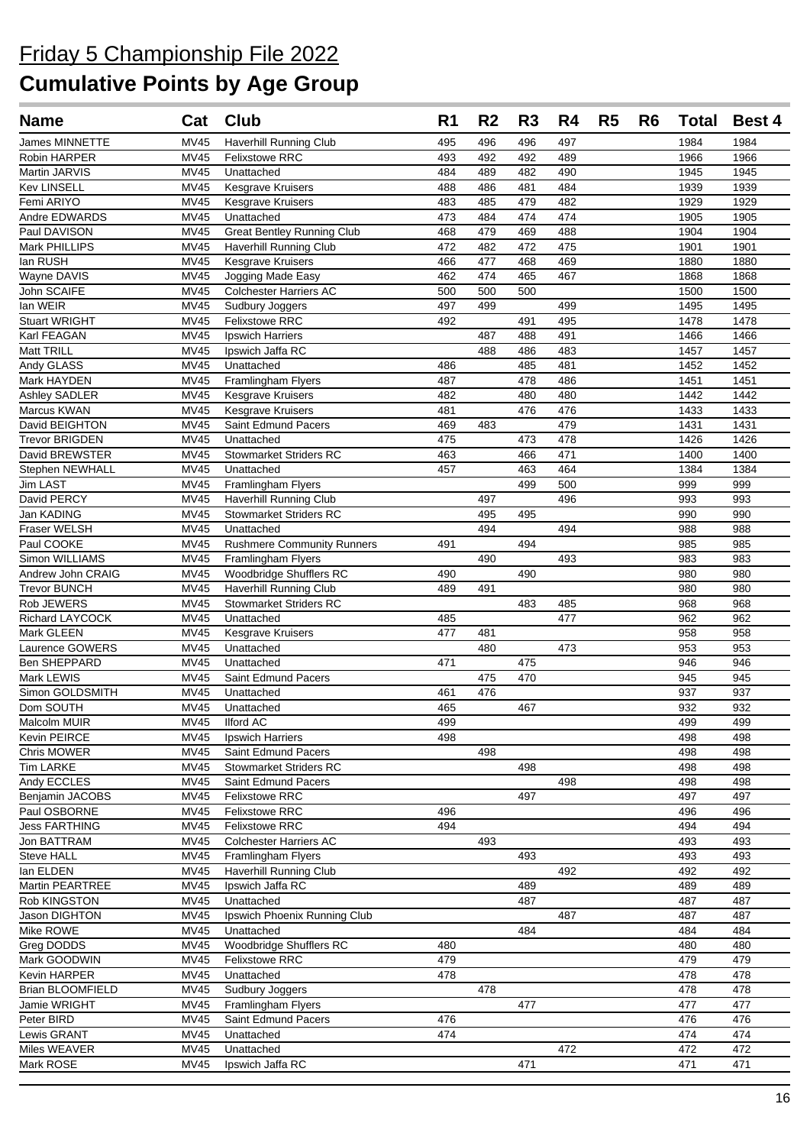| <b>Name</b>                     | Cat                        | Club                                                 | R <sub>1</sub> | R <sub>2</sub> | R <sub>3</sub> | R4         | R <sub>5</sub> | R <sub>6</sub> | <b>Total</b> | <b>Best 4</b> |
|---------------------------------|----------------------------|------------------------------------------------------|----------------|----------------|----------------|------------|----------------|----------------|--------------|---------------|
| <b>James MINNETTE</b>           | <b>MV45</b>                | <b>Haverhill Running Club</b>                        | 495            | 496            | 496            | 497        |                |                | 1984         | 1984          |
| Robin HARPER                    | <b>MV45</b>                | <b>Felixstowe RRC</b>                                | 493            | 492            | 492            | 489        |                |                | 1966         | 1966          |
| Martin JARVIS                   | <b>MV45</b>                | Unattached                                           | 484            | 489            | 482            | 490        |                |                | 1945         | 1945          |
| <b>Kev LINSELL</b>              | MV45                       | Kesgrave Kruisers                                    | 488            | 486            | 481            | 484        |                |                | 1939         | 1939          |
| Femi ARIYO                      | <b>MV45</b>                | Kesgrave Kruisers                                    | 483            | 485            | 479            | 482        |                |                | 1929         | 1929          |
| Andre EDWARDS                   | <b>MV45</b>                | Unattached                                           | 473            | 484            | 474            | 474        |                |                | 1905         | 1905          |
| Paul DAVISON                    | <b>MV45</b>                | <b>Great Bentley Running Club</b>                    | 468            | 479            | 469            | 488        |                |                | 1904         | 1904          |
| Mark PHILLIPS                   | <b>MV45</b>                | <b>Haverhill Running Club</b>                        | 472            | 482            | 472            | 475        |                |                | 1901         | 1901          |
| lan RUSH                        | <b>MV45</b>                | <b>Kesgrave Kruisers</b>                             | 466            | 477            | 468            | 469        |                |                | 1880         | 1880          |
| Wayne DAVIS                     | <b>MV45</b>                | Jogging Made Easy                                    | 462            | 474            | 465            | 467        |                |                | 1868         | 1868          |
| John SCAIFE                     | <b>MV45</b>                | <b>Colchester Harriers AC</b>                        | 500            | 500            | 500            |            |                |                | 1500         | 1500          |
| lan WEIR                        | <b>MV45</b>                | Sudbury Joggers                                      | 497            | 499            |                | 499        |                |                | 1495         | 1495          |
| <b>Stuart WRIGHT</b>            | <b>MV45</b>                | <b>Felixstowe RRC</b>                                | 492            |                | 491            | 495        |                |                | 1478         | 1478          |
| Karl FEAGAN                     | <b>MV45</b>                | Ipswich Harriers                                     |                | 487            | 488            | 491        |                |                | 1466         | 1466          |
| Matt TRILL                      | <b>MV45</b>                | Ipswich Jaffa RC                                     |                | 488            | 486            | 483        |                |                | 1457         | 1457          |
| Andy GLASS                      | <b>MV45</b><br><b>MV45</b> | Unattached                                           | 486<br>487     |                | 485<br>478     | 481<br>486 |                |                | 1452<br>1451 | 1452<br>1451  |
| Mark HAYDEN                     | <b>MV45</b>                | Framlingham Flyers                                   | 482            |                | 480            | 480        |                |                | 1442         | 1442          |
| Ashley SADLER<br>Marcus KWAN    | <b>MV45</b>                | Kesgrave Kruisers<br>Kesgrave Kruisers               | 481            |                | 476            | 476        |                |                | 1433         | 1433          |
| David BEIGHTON                  | <b>MV45</b>                | Saint Edmund Pacers                                  | 469            | 483            |                | 479        |                |                | 1431         | 1431          |
| <b>Trevor BRIGDEN</b>           | <b>MV45</b>                | Unattached                                           | 475            |                | 473            | 478        |                |                | 1426         | 1426          |
| David BREWSTER                  | <b>MV45</b>                | <b>Stowmarket Striders RC</b>                        | 463            |                | 466            | 471        |                |                | 1400         | 1400          |
| Stephen NEWHALL                 | <b>MV45</b>                | Unattached                                           | 457            |                | 463            | 464        |                |                | 1384         | 1384          |
| Jim LAST                        | MV45                       | Framlingham Flyers                                   |                |                | 499            | 500        |                |                | 999          | 999           |
| David PERCY                     | <b>MV45</b>                | Haverhill Running Club                               |                | 497            |                | 496        |                |                | 993          | 993           |
| Jan KADING                      | <b>MV45</b>                | <b>Stowmarket Striders RC</b>                        |                | 495            | 495            |            |                |                | 990          | 990           |
| Fraser WELSH                    | <b>MV45</b>                | Unattached                                           |                | 494            |                | 494        |                |                | 988          | 988           |
| Paul COOKE                      | <b>MV45</b>                | <b>Rushmere Community Runners</b>                    | 491            |                | 494            |            |                |                | 985          | 985           |
| Simon WILLIAMS                  | <b>MV45</b>                | Framlingham Flyers                                   |                | 490            |                | 493        |                |                | 983          | 983           |
| Andrew John CRAIG               | <b>MV45</b>                | Woodbridge Shufflers RC                              | 490            |                | 490            |            |                |                | 980          | 980           |
| <b>Trevor BUNCH</b>             | <b>MV45</b>                | Haverhill Running Club                               | 489            | 491            |                |            |                |                | 980          | 980           |
| Rob JEWERS                      | <b>MV45</b>                | <b>Stowmarket Striders RC</b>                        |                |                | 483            | 485        |                |                | 968          | 968           |
| Richard LAYCOCK                 | <b>MV45</b>                | Unattached                                           | 485            |                |                | 477        |                |                | 962          | 962           |
| Mark GLEEN                      | <b>MV45</b>                | Kesgrave Kruisers                                    | 477            | 481            |                |            |                |                | 958          | 958           |
| Laurence GOWERS                 | <b>MV45</b>                | Unattached                                           |                | 480            |                | 473        |                |                | 953          | 953           |
| Ben SHEPPARD                    | <b>MV45</b>                | Unattached                                           | 471            |                | 475            |            |                |                | 946          | 946           |
| Mark LEWIS                      | <b>MV45</b>                | Saint Edmund Pacers                                  |                | 475            | 470            |            |                |                | 945          | 945           |
| Simon GOLDSMITH                 | <b>MV45</b>                | Unattached                                           | 461            | 476            |                |            |                |                | 937          | 937           |
| Dom SOUTH                       | <b>MV45</b>                | Unattached                                           | 465            |                | 467            |            |                |                | 932          | 932           |
| Malcolm MUIR                    | <b>MV45</b>                | <b>Ilford AC</b>                                     | 499            |                |                |            |                |                | 499          | 499           |
| Kevin PEIRCE                    | MV45                       | Ipswich Harriers                                     | 498            |                |                |            |                |                | 498          | 498           |
| Chris MOWER<br><b>Tim LARKE</b> | MV45<br>MV45               | Saint Edmund Pacers<br><b>Stowmarket Striders RC</b> |                | 498            | 498            |            |                |                | 498<br>498   | 498<br>498    |
| Andy ECCLES                     | MV45                       | Saint Edmund Pacers                                  |                |                |                | 498        |                |                | 498          | 498           |
| Benjamin JACOBS                 | <b>MV45</b>                | <b>Felixstowe RRC</b>                                |                |                | 497            |            |                |                | 497          | 497           |
| Paul OSBORNE                    | MV45                       | Felixstowe RRC                                       | 496            |                |                |            |                |                | 496          | 496           |
| <b>Jess FARTHING</b>            | MV45                       | <b>Felixstowe RRC</b>                                | 494            |                |                |            |                |                | 494          | 494           |
| Jon BATTRAM                     | MV45                       | <b>Colchester Harriers AC</b>                        |                | 493            |                |            |                |                | 493          | 493           |
| Steve HALL                      | MV45                       | Framlingham Flyers                                   |                |                | 493            |            |                |                | 493          | 493           |
| lan ELDEN                       | <b>MV45</b>                | <b>Haverhill Running Club</b>                        |                |                |                | 492        |                |                | 492          | 492           |
| Martin PEARTREE                 | <b>MV45</b>                | Ipswich Jaffa RC                                     |                |                | 489            |            |                |                | 489          | 489           |
| Rob KINGSTON                    | MV45                       | Unattached                                           |                |                | 487            |            |                |                | 487          | 487           |
| Jason DIGHTON                   | <b>MV45</b>                | Ipswich Phoenix Running Club                         |                |                |                | 487        |                |                | 487          | 487           |
| Mike ROWE                       | MV45                       | Unattached                                           |                |                | 484            |            |                |                | 484          | 484           |
| Greg DODDS                      | MV45                       | Woodbridge Shufflers RC                              | 480            |                |                |            |                |                | 480          | 480           |
| Mark GOODWIN                    | <b>MV45</b>                | <b>Felixstowe RRC</b>                                | 479            |                |                |            |                |                | 479          | 479           |
| Kevin HARPER                    | MV45                       | Unattached                                           | 478            |                |                |            |                |                | 478          | 478           |
| <b>Brian BLOOMFIELD</b>         | MV45                       | Sudbury Joggers                                      |                | 478            |                |            |                |                | 478          | 478           |
| Jamie WRIGHT                    | MV45                       | Framlingham Flyers                                   |                |                | 477            |            |                |                | 477          | 477           |
| Peter BIRD                      | MV45                       | Saint Edmund Pacers                                  | 476            |                |                |            |                |                | 476          | 476           |
| Lewis GRANT                     | MV45                       | Unattached                                           | 474            |                |                |            |                |                | 474          | 474           |
| Miles WEAVER                    | MV45                       | Unattached                                           |                |                |                | 472        |                |                | 472          | 472           |
| Mark ROSE                       | MV45                       | Ipswich Jaffa RC                                     |                |                | 471            |            |                |                | 471          | 471           |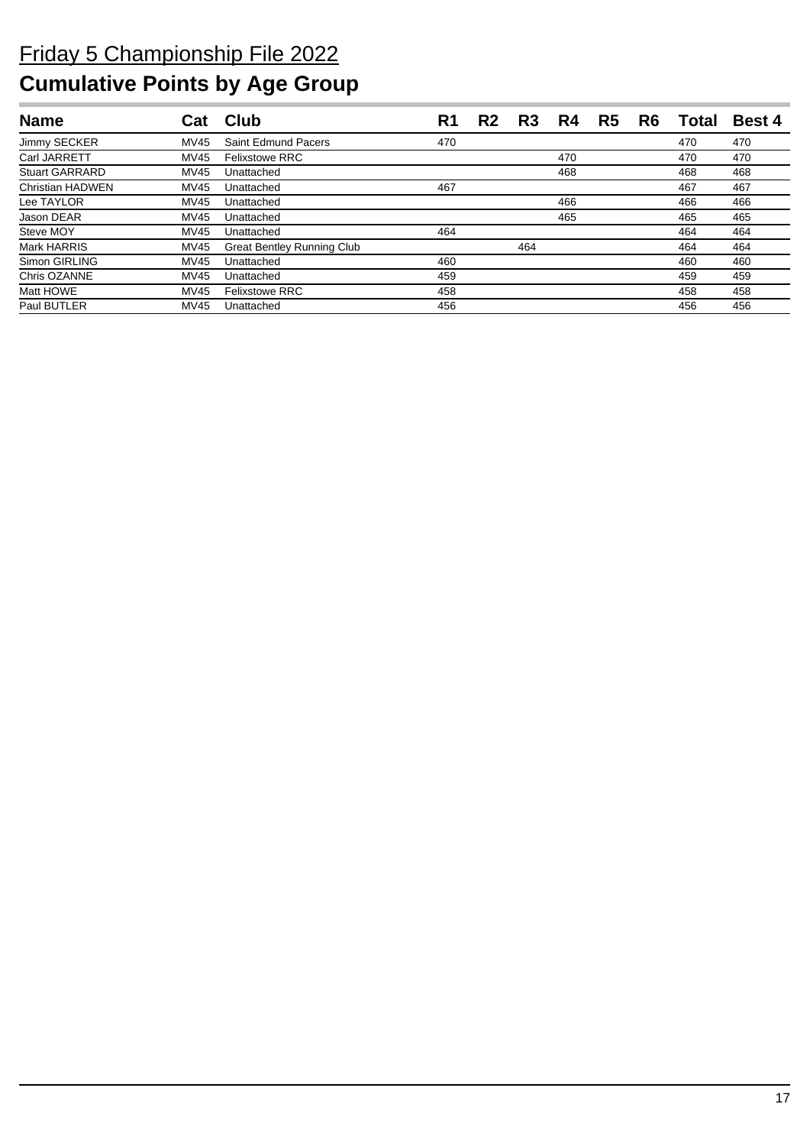| <b>Name</b>             |             | Club                              | R1  | R2 | R3  | R4  | R <sub>5</sub> | R <sub>6</sub> | Total | Best 4 |
|-------------------------|-------------|-----------------------------------|-----|----|-----|-----|----------------|----------------|-------|--------|
| Jimmy SECKER            | MV45        | Saint Edmund Pacers               | 470 |    |     |     |                |                | 470   | 470    |
| Carl JARRETT            | MV45        | <b>Felixstowe RRC</b>             |     |    |     | 470 |                |                | 470   | 470    |
| <b>Stuart GARRARD</b>   | MV45        | Unattached                        |     |    |     | 468 |                |                | 468   | 468    |
| <b>Christian HADWEN</b> | MV45        | Unattached                        | 467 |    |     |     |                |                | 467   | 467    |
| Lee TAYLOR              | MV45        | Unattached                        |     |    |     | 466 |                |                | 466   | 466    |
| Jason DEAR              | MV45        | Unattached                        |     |    |     | 465 |                |                | 465   | 465    |
| Steve MOY               | MV45        | Unattached                        | 464 |    |     |     |                |                | 464   | 464    |
| Mark HARRIS             | MV45        | <b>Great Bentley Running Club</b> |     |    | 464 |     |                |                | 464   | 464    |
| Simon GIRLING           | MV45        | Unattached                        | 460 |    |     |     |                |                | 460   | 460    |
| Chris OZANNE            | <b>MV45</b> | Unattached                        | 459 |    |     |     |                |                | 459   | 459    |
| Matt HOWE               | MV45        | <b>Felixstowe RRC</b>             | 458 |    |     |     |                |                | 458   | 458    |
| Paul BUTLER             | MV45        | Unattached                        | 456 |    |     |     |                |                | 456   | 456    |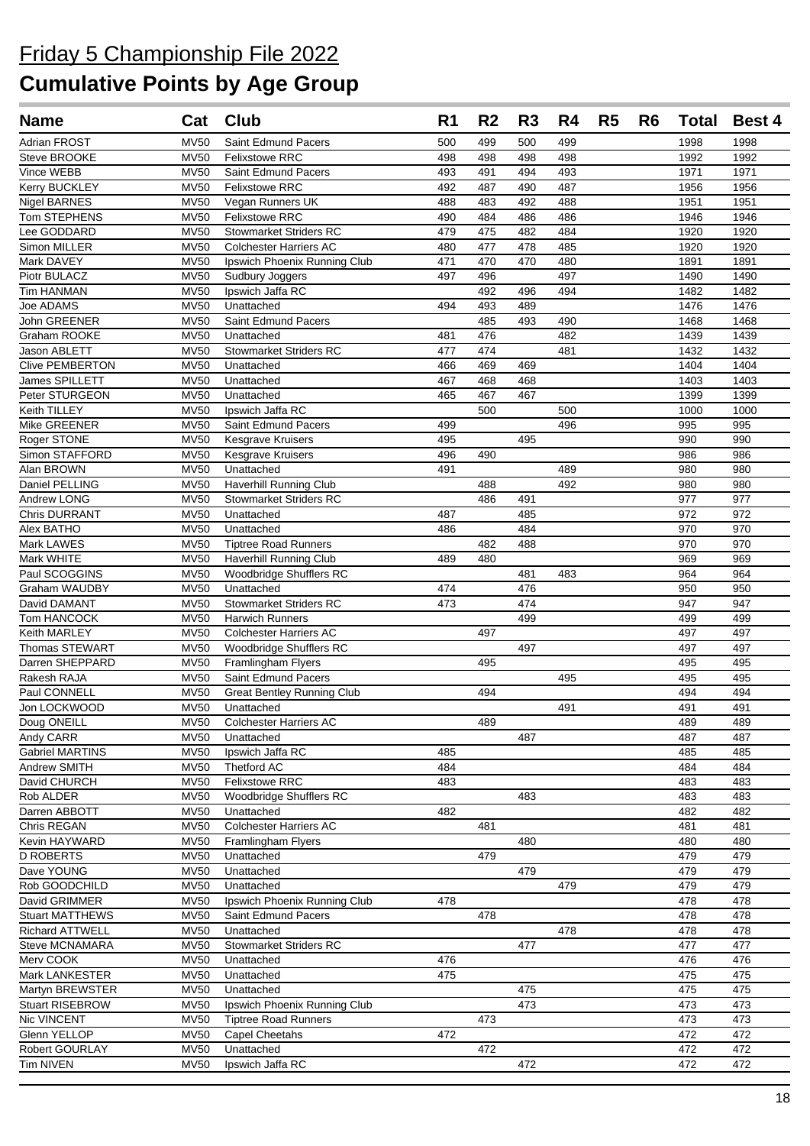| <b>Name</b>                       | Cat                        | Club                                        | R <sub>1</sub> | R <sub>2</sub> | R <sub>3</sub> | R4         | R <sub>5</sub> | R <sub>6</sub> | <b>Total</b> | <b>Best 4</b> |
|-----------------------------------|----------------------------|---------------------------------------------|----------------|----------------|----------------|------------|----------------|----------------|--------------|---------------|
| Adrian FROST                      | <b>MV50</b>                | Saint Edmund Pacers                         | 500            | 499            | 500            | 499        |                |                | 1998         | 1998          |
| Steve BROOKE                      | <b>MV50</b>                | Felixstowe RRC                              | 498            | 498            | 498            | 498        |                |                | 1992         | 1992          |
| Vince WEBB                        | <b>MV50</b>                | Saint Edmund Pacers                         | 493            | 491            | 494            | 493        |                |                | 1971         | 1971          |
| Kerry BUCKLEY                     | <b>MV50</b>                | <b>Felixstowe RRC</b>                       | 492            | 487            | 490            | 487        |                |                | 1956         | 1956          |
| <b>Nigel BARNES</b>               | <b>MV50</b>                | Vegan Runners UK                            | 488            | 483            | 492            | 488        |                |                | 1951         | 1951          |
| Tom STEPHENS                      | <b>MV50</b>                | <b>Felixstowe RRC</b>                       | 490            | 484            | 486            | 486        |                |                | 1946         | 1946          |
| Lee GODDARD                       | <b>MV50</b>                | <b>Stowmarket Striders RC</b>               | 479            | 475            | 482            | 484        |                |                | 1920         | 1920          |
| Simon MILLER                      | <b>MV50</b>                | <b>Colchester Harriers AC</b>               | 480            | 477            | 478            | 485        |                |                | 1920         | 1920          |
| Mark DAVEY                        | <b>MV50</b>                | Ipswich Phoenix Running Club                | 471            | 470            | 470            | 480        |                |                | 1891         | 1891          |
| Piotr BULACZ                      | <b>MV50</b>                | Sudbury Joggers                             | 497            | 496            |                | 497        |                |                | 1490         | 1490          |
| Tim HANMAN                        | <b>MV50</b>                | Ipswich Jaffa RC                            |                | 492            | 496            | 494        |                |                | 1482         | 1482          |
| Joe ADAMS                         | <b>MV50</b>                | Unattached                                  | 494            | 493            | 489            |            |                |                | 1476         | 1476          |
| John GREENER                      | <b>MV50</b>                | Saint Edmund Pacers                         | 481            | 485<br>476     | 493            | 490<br>482 |                |                | 1468<br>1439 | 1468          |
| Graham ROOKE<br>Jason ABLETT      | <b>MV50</b><br><b>MV50</b> | Unattached<br><b>Stowmarket Striders RC</b> | 477            | 474            |                | 481        |                |                | 1432         | 1439<br>1432  |
| <b>Clive PEMBERTON</b>            | <b>MV50</b>                | Unattached                                  | 466            | 469            | 469            |            |                |                | 1404         | 1404          |
| James SPILLETT                    | <b>MV50</b>                | Unattached                                  | 467            | 468            | 468            |            |                |                | 1403         | 1403          |
| Peter STURGEON                    | <b>MV50</b>                | Unattached                                  | 465            | 467            | 467            |            |                |                | 1399         | 1399          |
| Keith TILLEY                      | <b>MV50</b>                | Ipswich Jaffa RC                            |                | 500            |                | 500        |                |                | 1000         | 1000          |
| Mike GREENER                      | <b>MV50</b>                | <b>Saint Edmund Pacers</b>                  | 499            |                |                | 496        |                |                | 995          | 995           |
| Roger STONE                       | <b>MV50</b>                | Kesgrave Kruisers                           | 495            |                | 495            |            |                |                | 990          | 990           |
| Simon STAFFORD                    | <b>MV50</b>                | Kesgrave Kruisers                           | 496            | 490            |                |            |                |                | 986          | 986           |
| Alan BROWN                        | <b>MV50</b>                | Unattached                                  | 491            |                |                | 489        |                |                | 980          | 980           |
| Daniel PELLING                    | <b>MV50</b>                | <b>Haverhill Running Club</b>               |                | 488            |                | 492        |                |                | 980          | 980           |
| Andrew LONG                       | <b>MV50</b>                | <b>Stowmarket Striders RC</b>               |                | 486            | 491            |            |                |                | 977          | 977           |
| <b>Chris DURRANT</b>              | <b>MV50</b>                | Unattached                                  | 487            |                | 485            |            |                |                | 972          | 972           |
| Alex BATHO                        | <b>MV50</b>                | Unattached                                  | 486            |                | 484            |            |                |                | 970          | 970           |
| Mark LAWES                        | <b>MV50</b>                | <b>Tiptree Road Runners</b>                 |                | 482            | 488            |            |                |                | 970          | 970           |
| Mark WHITE                        | <b>MV50</b>                | <b>Haverhill Running Club</b>               | 489            | 480            |                |            |                |                | 969          | 969           |
| Paul SCOGGINS                     | <b>MV50</b>                | Woodbridge Shufflers RC                     |                |                | 481            | 483        |                |                | 964          | 964           |
| Graham WAUDBY                     | <b>MV50</b>                | Unattached                                  | 474            |                | 476            |            |                |                | 950          | 950           |
| David DAMANT                      | <b>MV50</b>                | <b>Stowmarket Striders RC</b>               | 473            |                | 474            |            |                |                | 947          | 947           |
| Tom HANCOCK                       | <b>MV50</b>                | <b>Harwich Runners</b>                      |                |                | 499            |            |                |                | 499          | 499           |
| Keith MARLEY                      | <b>MV50</b>                | <b>Colchester Harriers AC</b>               |                | 497            |                |            |                |                | 497          | 497           |
| Thomas STEWART<br>Darren SHEPPARD | <b>MV50</b><br><b>MV50</b> | Woodbridge Shufflers RC                     |                | 495            | 497            |            |                |                | 497          | 497<br>495    |
| Rakesh RAJA                       | <b>MV50</b>                | Framlingham Flyers<br>Saint Edmund Pacers   |                |                |                | 495        |                |                | 495<br>495   | 495           |
| Paul CONNELL                      | <b>MV50</b>                | <b>Great Bentley Running Club</b>           |                | 494            |                |            |                |                | 494          | 494           |
| Jon LOCKWOOD                      | <b>MV50</b>                | Unattached                                  |                |                |                | 491        |                |                | 491          | 491           |
| Doug ONEILL                       |                            | MV50 Colchester Harriers AC                 |                | 489            |                |            |                |                | 489          | 489           |
| Andy CARR                         | <b>MV50</b>                | Unattached                                  |                |                | 487            |            |                |                | 487          | 487           |
| <b>Gabriel MARTINS</b>            | <b>MV50</b>                | Ipswich Jaffa RC                            | 485            |                |                |            |                |                | 485          | 485           |
| Andrew SMITH                      | <b>MV50</b>                | Thetford AC                                 | 484            |                |                |            |                |                | 484          | 484           |
| David CHURCH                      | <b>MV50</b>                | <b>Felixstowe RRC</b>                       | 483            |                |                |            |                |                | 483          | 483           |
| Rob ALDER                         | <b>MV50</b>                | Woodbridge Shufflers RC                     |                |                | 483            |            |                |                | 483          | 483           |
| Darren ABBOTT                     | <b>MV50</b>                | Unattached                                  | 482            |                |                |            |                |                | 482          | 482           |
| Chris REGAN                       | <b>MV50</b>                | <b>Colchester Harriers AC</b>               |                | 481            |                |            |                |                | 481          | 481           |
| Kevin HAYWARD                     | <b>MV50</b>                | Framlingham Flyers                          |                |                | 480            |            |                |                | 480          | 480           |
| <b>D ROBERTS</b>                  | <b>MV50</b>                | Unattached                                  |                | 479            |                |            |                |                | 479          | 479           |
| Dave YOUNG                        | <b>MV50</b>                | Unattached                                  |                |                | 479            |            |                |                | 479          | 479           |
| Rob GOODCHILD                     | <b>MV50</b>                | Unattached                                  |                |                |                | 479        |                |                | 479          | 479           |
| David GRIMMER                     | <b>MV50</b>                | Ipswich Phoenix Running Club                | 478            |                |                |            |                |                | 478          | 478           |
| <b>Stuart MATTHEWS</b>            | <b>MV50</b>                | Saint Edmund Pacers                         |                | 478            |                |            |                |                | 478          | 478           |
| <b>Richard ATTWELL</b>            | <b>MV50</b>                | Unattached                                  |                |                |                | 478        |                |                | 478          | 478           |
| Steve MCNAMARA                    | <b>MV50</b>                | Stowmarket Striders RC                      |                |                | 477            |            |                |                | 477          | 477           |
| Merv COOK<br>Mark LANKESTER       | <b>MV50</b><br><b>MV50</b> | Unattached<br>Unattached                    | 476<br>475     |                |                |            |                |                | 476<br>475   | 476<br>475    |
| Martyn BREWSTER                   | <b>MV50</b>                | Unattached                                  |                |                | 475            |            |                |                | 475          | 475           |
| Stuart RISEBROW                   | <b>MV50</b>                | Ipswich Phoenix Running Club                |                |                | 473            |            |                |                | 473          | 473           |
| Nic VINCENT                       | <b>MV50</b>                | <b>Tiptree Road Runners</b>                 |                | 473            |                |            |                |                | 473          | 473           |
| Glenn YELLOP                      | <b>MV50</b>                | Capel Cheetahs                              | 472            |                |                |            |                |                | 472          | 472           |
| Robert GOURLAY                    | <b>MV50</b>                | Unattached                                  |                | 472            |                |            |                |                | 472          | 472           |
| Tim NIVEN                         | <b>MV50</b>                | Ipswich Jaffa RC                            |                |                | 472            |            |                |                | 472          | 472           |
|                                   |                            |                                             |                |                |                |            |                |                |              |               |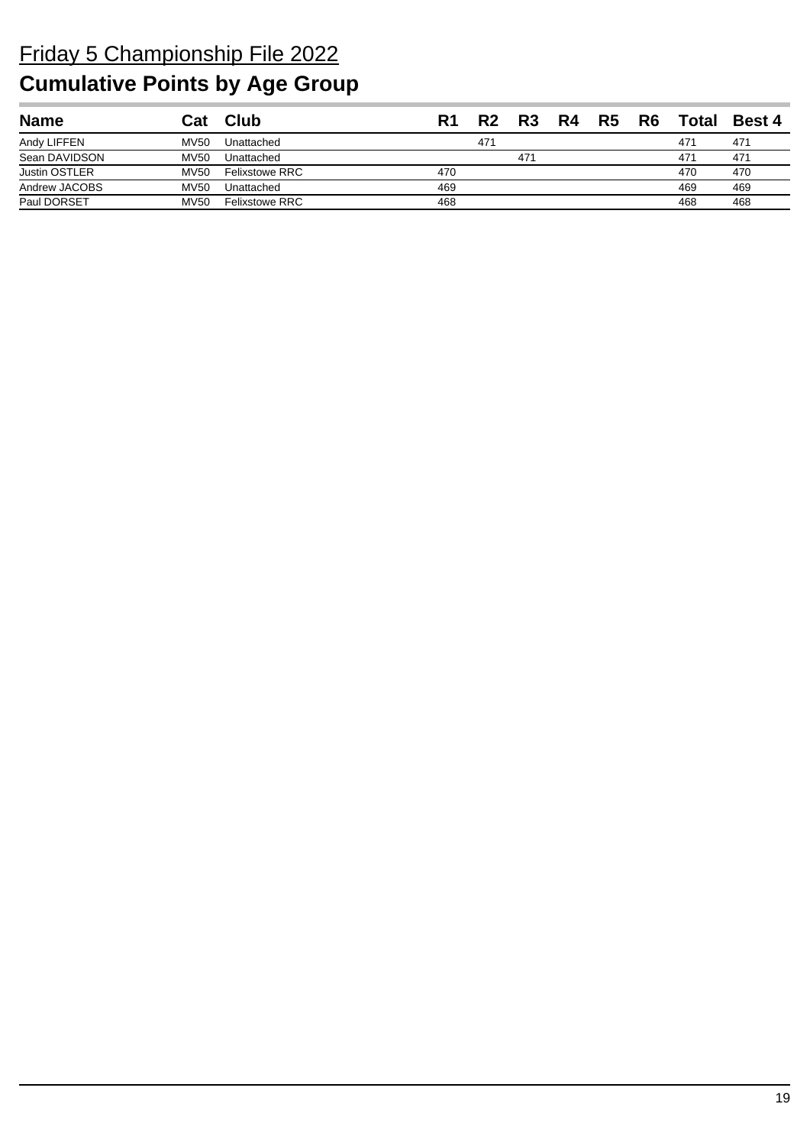| <b>Name</b>          | Cat         | $C$ lub               | R1  | D?  | R3  | R5 | R6 | Total | <b>Best 4</b> |
|----------------------|-------------|-----------------------|-----|-----|-----|----|----|-------|---------------|
| Andy LIFFEN          | <b>MV50</b> | Unattached            |     | 471 |     |    |    | 471   | 471           |
| Sean DAVIDSON        | <b>MV50</b> | Unattached            |     |     | 471 |    |    | 471   | 471           |
| <b>Justin OSTLER</b> | <b>MV50</b> | <b>Felixstowe RRC</b> | 470 |     |     |    |    | 470   | 470           |
| Andrew JACOBS        | <b>MV50</b> | Unattached            | 469 |     |     |    |    | 469   | 469           |
| Paul DORSET          | <b>MV50</b> | <b>Felixstowe RRC</b> | 468 |     |     |    |    | 468   | 468           |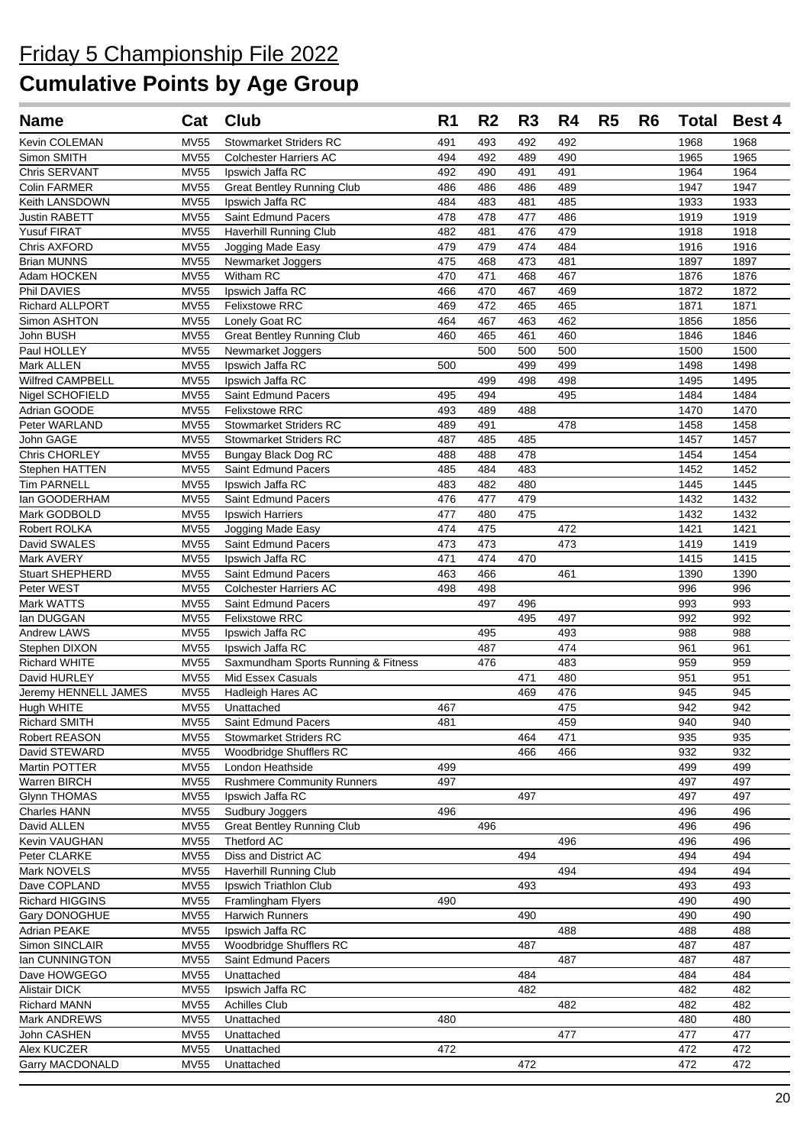| <b>Name</b>                        | Cat                        | Club                                 | R <sub>1</sub> | R <sub>2</sub> | R <sub>3</sub> | R4         | R <sub>5</sub> | R <sub>6</sub> | <b>Total</b> | <b>Best 4</b> |
|------------------------------------|----------------------------|--------------------------------------|----------------|----------------|----------------|------------|----------------|----------------|--------------|---------------|
| Kevin COLEMAN                      | <b>MV55</b>                | <b>Stowmarket Striders RC</b>        | 491            | 493            | 492            | 492        |                |                | 1968         | 1968          |
| Simon SMITH                        | <b>MV55</b>                | <b>Colchester Harriers AC</b>        | 494            | 492            | 489            | 490        |                |                | 1965         | 1965          |
| Chris SERVANT                      | <b>MV55</b>                | Ipswich Jaffa RC                     | 492            | 490            | 491            | 491        |                |                | 1964         | 1964          |
| Colin FARMER                       | <b>MV55</b>                | <b>Great Bentley Running Club</b>    | 486            | 486            | 486            | 489        |                |                | 1947         | 1947          |
| Keith LANSDOWN                     | <b>MV55</b>                | Ipswich Jaffa RC                     | 484            | 483            | 481            | 485        |                |                | 1933         | 1933          |
| Justin RABETT                      | <b>MV55</b>                | Saint Edmund Pacers                  | 478            | 478            | 477            | 486        |                |                | 1919         | 1919          |
| <b>Yusuf FIRAT</b>                 | <b>MV55</b>                | Haverhill Running Club               | 482            | 481            | 476            | 479        |                |                | 1918         | 1918          |
| Chris AXFORD                       | <b>MV55</b>                | Jogging Made Easy                    | 479            | 479            | 474            | 484        |                |                | 1916         | 1916          |
| <b>Brian MUNNS</b>                 | <b>MV55</b>                | Newmarket Joggers                    | 475            | 468            | 473            | 481        |                |                | 1897         | 1897          |
| Adam HOCKEN                        | <b>MV55</b>                | Witham RC                            | 470            | 471            | 468            | 467        |                |                | 1876         | 1876          |
| Phil DAVIES                        | <b>MV55</b>                | Ipswich Jaffa RC                     | 466            | 470            | 467            | 469        |                |                | 1872         | 1872          |
| <b>Richard ALLPORT</b>             | <b>MV55</b>                | <b>Felixstowe RRC</b>                | 469            | 472            | 465            | 465        |                |                | 1871         | 1871          |
| Simon ASHTON                       | <b>MV55</b>                | Lonely Goat RC                       | 464            | 467            | 463            | 462        |                |                | 1856         | 1856          |
| John BUSH                          | <b>MV55</b>                | <b>Great Bentley Running Club</b>    | 460            | 465            | 461            | 460        |                |                | 1846         | 1846          |
| Paul HOLLEY<br>Mark ALLEN          | <b>MV55</b>                | Newmarket Joggers                    | 500            | 500            | 500<br>499     | 500<br>499 |                |                | 1500<br>1498 | 1500          |
| Wilfred CAMPBELL                   | <b>MV55</b><br><b>MV55</b> | Ipswich Jaffa RC<br>Ipswich Jaffa RC |                | 499            | 498            | 498        |                |                | 1495         | 1498<br>1495  |
| Nigel SCHOFIELD                    | <b>MV55</b>                | Saint Edmund Pacers                  | 495            | 494            |                | 495        |                |                | 1484         | 1484          |
| Adrian GOODE                       | <b>MV55</b>                | <b>Felixstowe RRC</b>                | 493            | 489            | 488            |            |                |                | 1470         | 1470          |
| Peter WARLAND                      | <b>MV55</b>                | <b>Stowmarket Striders RC</b>        | 489            | 491            |                | 478        |                |                | 1458         | 1458          |
| John GAGE                          | <b>MV55</b>                | <b>Stowmarket Striders RC</b>        | 487            | 485            | 485            |            |                |                | 1457         | 1457          |
| Chris CHORLEY                      | <b>MV55</b>                | <b>Bungay Black Dog RC</b>           | 488            | 488            | 478            |            |                |                | 1454         | 1454          |
| Stephen HATTEN                     | <b>MV55</b>                | Saint Edmund Pacers                  | 485            | 484            | 483            |            |                |                | 1452         | 1452          |
| <b>Tim PARNELL</b>                 | <b>MV55</b>                | Ipswich Jaffa RC                     | 483            | 482            | 480            |            |                |                | 1445         | 1445          |
| lan GOODERHAM                      | <b>MV55</b>                | <b>Saint Edmund Pacers</b>           | 476            | 477            | 479            |            |                |                | 1432         | 1432          |
| Mark GODBOLD                       | <b>MV55</b>                | <b>Ipswich Harriers</b>              | 477            | 480            | 475            |            |                |                | 1432         | 1432          |
| Robert ROLKA                       | <b>MV55</b>                | Jogging Made Easy                    | 474            | 475            |                | 472        |                |                | 1421         | 1421          |
| David SWALES                       | <b>MV55</b>                | Saint Edmund Pacers                  | 473            | 473            |                | 473        |                |                | 1419         | 1419          |
| Mark AVERY                         | <b>MV55</b>                | Ipswich Jaffa RC                     | 471            | 474            | 470            |            |                |                | 1415         | 1415          |
| <b>Stuart SHEPHERD</b>             | <b>MV55</b>                | Saint Edmund Pacers                  | 463            | 466            |                | 461        |                |                | 1390         | 1390          |
| Peter WEST                         | <b>MV55</b>                | <b>Colchester Harriers AC</b>        | 498            | 498            |                |            |                |                | 996          | 996           |
| Mark WATTS                         | <b>MV55</b>                | Saint Edmund Pacers                  |                | 497            | 496            |            |                |                | 993          | 993           |
| lan DUGGAN                         | <b>MV55</b>                | <b>Felixstowe RRC</b>                |                |                | 495            | 497        |                |                | 992          | 992           |
| <b>Andrew LAWS</b>                 | <b>MV55</b>                | Ipswich Jaffa RC                     |                | 495            |                | 493        |                |                | 988          | 988           |
| Stephen DIXON                      | <b>MV55</b>                | Ipswich Jaffa RC                     |                | 487            |                | 474        |                |                | 961          | 961           |
| Richard WHITE                      | <b>MV55</b>                | Saxmundham Sports Running & Fitness  |                | 476            |                | 483        |                |                | 959          | 959           |
| David HURLEY                       | <b>MV55</b>                | Mid Essex Casuals                    |                |                | 471            | 480        |                |                | 951          | 951           |
| Jeremy HENNELL JAMES<br>Hugh WHITE | <b>MV55</b><br><b>MV55</b> | Hadleigh Hares AC                    | 467            |                | 469            | 476<br>475 |                |                | 945<br>942   | 945<br>942    |
| Richard SMITH                      | <b>MV55</b>                | Unattached<br>Saint Edmund Pacers    | 481            |                |                | 459        |                |                | 940          | 940           |
| Robert REASON                      | MV55                       | <b>Stowmarket Striders RC</b>        |                |                | 464            | 471        |                |                | 935          | 935           |
| David STEWARD                      | <b>MV55</b>                | Woodbridge Shufflers RC              |                |                | 466            | 466        |                |                | 932          | 932           |
| Martin POTTER                      | <b>MV55</b>                | London Heathside                     | 499            |                |                |            |                |                | 499          | 499           |
| Warren BIRCH                       | <b>MV55</b>                | <b>Rushmere Community Runners</b>    | 497            |                |                |            |                |                | 497          | 497           |
| <b>Glynn THOMAS</b>                | <b>MV55</b>                | Ipswich Jaffa RC                     |                |                | 497            |            |                |                | 497          | 497           |
| Charles HANN                       | <b>MV55</b>                | Sudbury Joggers                      | 496            |                |                |            |                |                | 496          | 496           |
| David ALLEN                        | <b>MV55</b>                | <b>Great Bentley Running Club</b>    |                | 496            |                |            |                |                | 496          | 496           |
| Kevin VAUGHAN                      | <b>MV55</b>                | Thetford AC                          |                |                |                | 496        |                |                | 496          | 496           |
| Peter CLARKE                       | <b>MV55</b>                | Diss and District AC                 |                |                | 494            |            |                |                | 494          | 494           |
| Mark NOVELS                        | <b>MV55</b>                | Haverhill Running Club               |                |                |                | 494        |                |                | 494          | 494           |
| Dave COPLAND                       | <b>MV55</b>                | Ipswich Triathlon Club               |                |                | 493            |            |                |                | 493          | 493           |
| Richard HIGGINS                    | <b>MV55</b>                | Framlingham Flyers                   | 490            |                |                |            |                |                | 490          | 490           |
| Gary DONOGHUE                      | <b>MV55</b>                | Harwich Runners                      |                |                | 490            |            |                |                | 490          | 490           |
| Adrian PEAKE                       | <b>MV55</b>                | Ipswich Jaffa RC                     |                |                |                | 488        |                |                | 488          | 488           |
| Simon SINCLAIR                     | <b>MV55</b>                | Woodbridge Shufflers RC              |                |                | 487            |            |                |                | 487          | 487           |
| lan CUNNINGTON                     | <b>MV55</b>                | Saint Edmund Pacers                  |                |                |                | 487        |                |                | 487          | 487           |
| Dave HOWGEGO                       | <b>MV55</b>                | Unattached                           |                |                | 484            |            |                |                | 484          | 484           |
| <b>Alistair DICK</b>               | <b>MV55</b>                | Ipswich Jaffa RC                     |                |                | 482            |            |                |                | 482          | 482           |
| <b>Richard MANN</b>                | <b>MV55</b>                | <b>Achilles Club</b>                 |                |                |                | 482        |                |                | 482          | 482           |
| Mark ANDREWS                       | <b>MV55</b>                | Unattached                           | 480            |                |                |            |                |                | 480          | 480           |
| John CASHEN                        | <b>MV55</b>                | Unattached                           |                |                |                | 477        |                |                | 477          | 477           |
| Alex KUCZER                        | <b>MV55</b>                | Unattached                           | 472            |                |                |            |                |                | 472          | 472           |
| <b>Garry MACDONALD</b>             | <b>MV55</b>                | Unattached                           |                |                | 472            |            |                |                | 472          | 472           |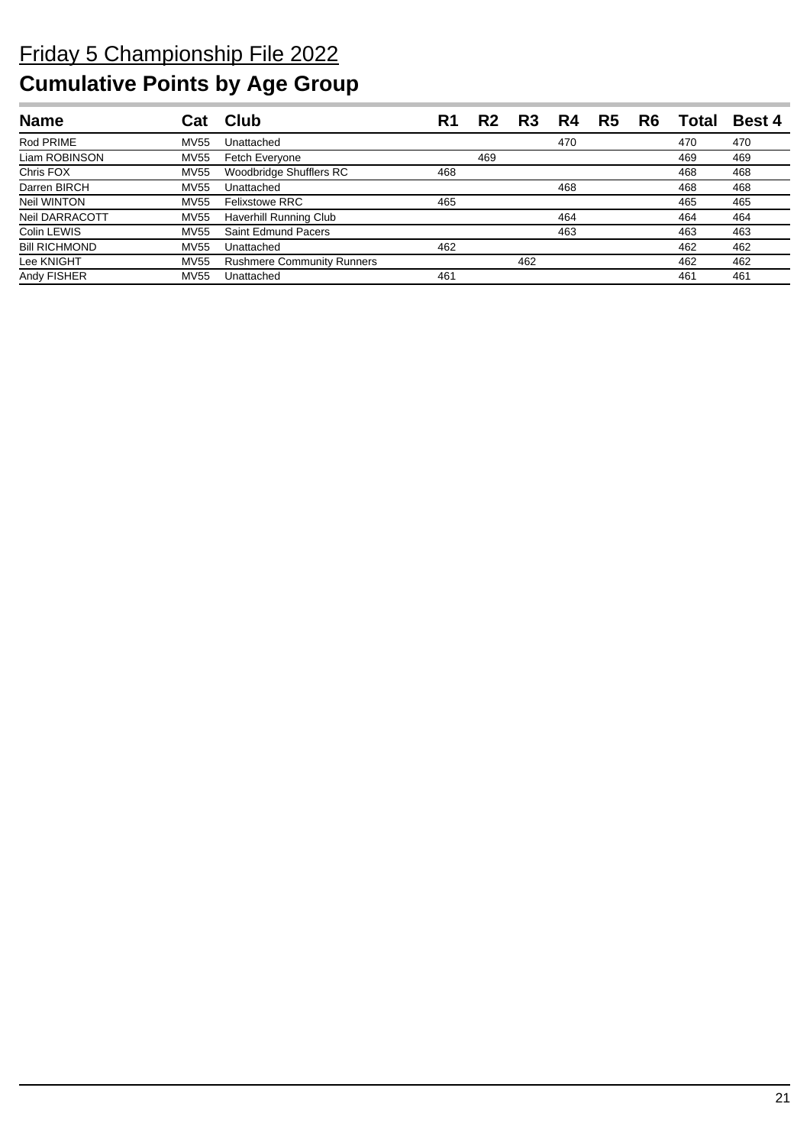| <b>Name</b>          |             | Club                              | R1  | R <sub>2</sub> | R <sub>3</sub> | R4  | R5 | R6 | Total | <b>Best 4</b> |
|----------------------|-------------|-----------------------------------|-----|----------------|----------------|-----|----|----|-------|---------------|
| Rod PRIME            | <b>MV55</b> | Unattached                        |     |                |                | 470 |    |    | 470   | 470           |
| Liam ROBINSON        | MV55        | Fetch Everyone                    |     | 469            |                |     |    |    | 469   | 469           |
| Chris FOX            | <b>MV55</b> | Woodbridge Shufflers RC           | 468 |                |                |     |    |    | 468   | 468           |
| Darren BIRCH         | <b>MV55</b> | Unattached                        |     |                |                | 468 |    |    | 468   | 468           |
| Neil WINTON          | <b>MV55</b> | <b>Felixstowe RRC</b>             | 465 |                |                |     |    |    | 465   | 465           |
| Neil DARRACOTT       | <b>MV55</b> | <b>Haverhill Running Club</b>     |     |                |                | 464 |    |    | 464   | 464           |
| Colin LEWIS          | MV55        | Saint Edmund Pacers               |     |                |                | 463 |    |    | 463   | 463           |
| <b>Bill RICHMOND</b> | <b>MV55</b> | Unattached                        | 462 |                |                |     |    |    | 462   | 462           |
| Lee KNIGHT           | <b>MV55</b> | <b>Rushmere Community Runners</b> |     |                | 462            |     |    |    | 462   | 462           |
| Andy FISHER          | <b>MV55</b> | Unattached                        | 461 |                |                |     |    |    | 461   | 461           |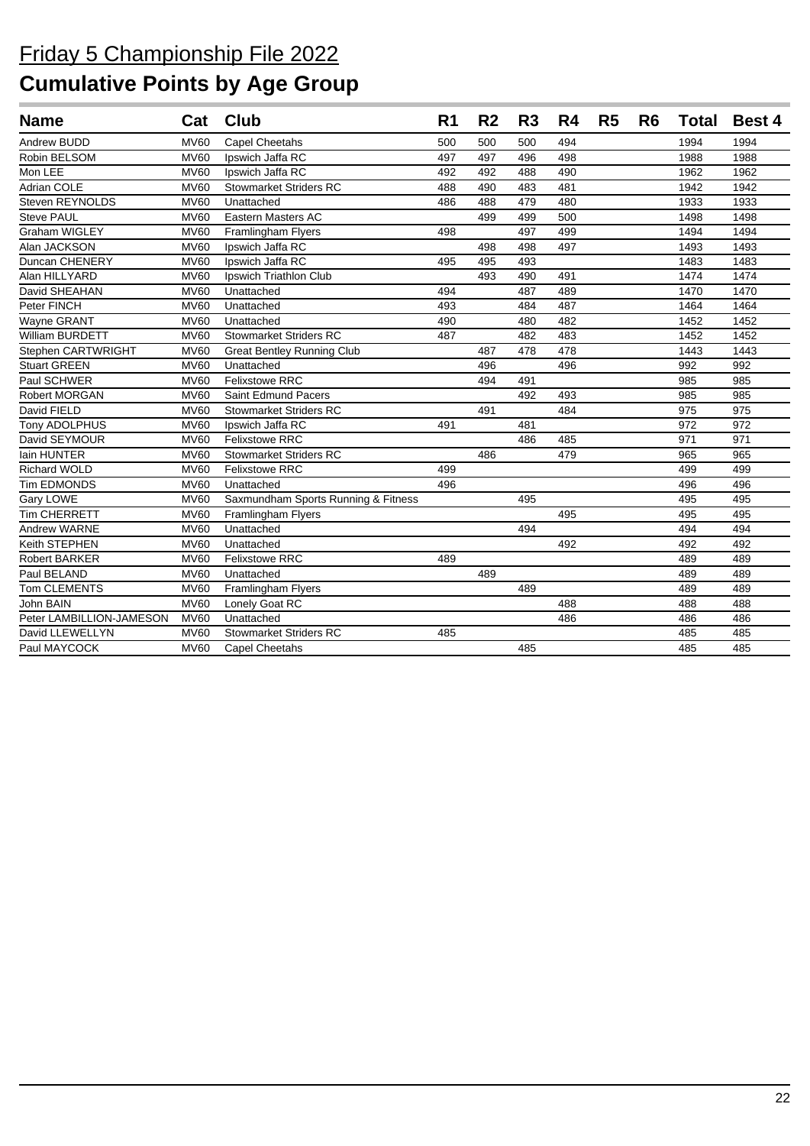| <b>Name</b>              |             | Cat Club                            | R <sub>1</sub> | R <sub>2</sub> | R <sub>3</sub> | R4  | R <sub>5</sub> | R6 | <b>Total</b> | <b>Best 4</b> |
|--------------------------|-------------|-------------------------------------|----------------|----------------|----------------|-----|----------------|----|--------------|---------------|
| Andrew BUDD              | <b>MV60</b> | <b>Capel Cheetahs</b>               | 500            | 500            | 500            | 494 |                |    | 1994         | 1994          |
| Robin BELSOM             | <b>MV60</b> | Ipswich Jaffa RC                    | 497            | 497            | 496            | 498 |                |    | 1988         | 1988          |
| Mon LEE                  | <b>MV60</b> | Ipswich Jaffa RC                    | 492            | 492            | 488            | 490 |                |    | 1962         | 1962          |
| Adrian COLE              | <b>MV60</b> | <b>Stowmarket Striders RC</b>       | 488            | 490            | 483            | 481 |                |    | 1942         | 1942          |
| Steven REYNOLDS          | <b>MV60</b> | Unattached                          | 486            | 488            | 479            | 480 |                |    | 1933         | 1933          |
| <b>Steve PAUL</b>        | <b>MV60</b> | Eastern Masters AC                  |                | 499            | 499            | 500 |                |    | 1498         | 1498          |
| <b>Graham WIGLEY</b>     | <b>MV60</b> | Framlingham Flyers                  | 498            |                | 497            | 499 |                |    | 1494         | 1494          |
| Alan JACKSON             | <b>MV60</b> | Ipswich Jaffa RC                    |                | 498            | 498            | 497 |                |    | 1493         | 1493          |
| Duncan CHENERY           | <b>MV60</b> | Ipswich Jaffa RC                    | 495            | 495            | 493            |     |                |    | 1483         | 1483          |
| Alan HILLYARD            | <b>MV60</b> | Ipswich Triathlon Club              |                | 493            | 490            | 491 |                |    | 1474         | 1474          |
| David SHEAHAN            | <b>MV60</b> | Unattached                          | 494            |                | 487            | 489 |                |    | 1470         | 1470          |
| Peter FINCH              | <b>MV60</b> | Unattached                          | 493            |                | 484            | 487 |                |    | 1464         | 1464          |
| Wayne GRANT              | <b>MV60</b> | Unattached                          | 490            |                | 480            | 482 |                |    | 1452         | 1452          |
| William BURDETT          | <b>MV60</b> | <b>Stowmarket Striders RC</b>       | 487            |                | 482            | 483 |                |    | 1452         | 1452          |
| Stephen CARTWRIGHT       | <b>MV60</b> | <b>Great Bentley Running Club</b>   |                | 487            | 478            | 478 |                |    | 1443         | 1443          |
| <b>Stuart GREEN</b>      | <b>MV60</b> | Unattached                          |                | 496            |                | 496 |                |    | 992          | 992           |
| Paul SCHWER              | <b>MV60</b> | <b>Felixstowe RRC</b>               |                | 494            | 491            |     |                |    | 985          | 985           |
| Robert MORGAN            | <b>MV60</b> | <b>Saint Edmund Pacers</b>          |                |                | 492            | 493 |                |    | 985          | 985           |
| David FIELD              | <b>MV60</b> | <b>Stowmarket Striders RC</b>       |                | 491            |                | 484 |                |    | 975          | 975           |
| Tony ADOLPHUS            | <b>MV60</b> | Ipswich Jaffa RC                    | 491            |                | 481            |     |                |    | 972          | 972           |
| David SEYMOUR            | <b>MV60</b> | <b>Felixstowe RRC</b>               |                |                | 486            | 485 |                |    | 971          | 971           |
| lain HUNTER              | <b>MV60</b> | <b>Stowmarket Striders RC</b>       |                | 486            |                | 479 |                |    | 965          | 965           |
| <b>Richard WOLD</b>      | <b>MV60</b> | <b>Felixstowe RRC</b>               | 499            |                |                |     |                |    | 499          | 499           |
| Tim EDMONDS              | <b>MV60</b> | Unattached                          | 496            |                |                |     |                |    | 496          | 496           |
| Gary LOWE                | <b>MV60</b> | Saxmundham Sports Running & Fitness |                |                | 495            |     |                |    | 495          | 495           |
| <b>Tim CHERRETT</b>      | <b>MV60</b> | Framlingham Flyers                  |                |                |                | 495 |                |    | 495          | 495           |
| <b>Andrew WARNE</b>      | <b>MV60</b> | Unattached                          |                |                | 494            |     |                |    | 494          | 494           |
| Keith STEPHEN            | <b>MV60</b> | Unattached                          |                |                |                | 492 |                |    | 492          | 492           |
| <b>Robert BARKER</b>     | <b>MV60</b> | <b>Felixstowe RRC</b>               | 489            |                |                |     |                |    | 489          | 489           |
| Paul BELAND              | <b>MV60</b> | Unattached                          |                | 489            |                |     |                |    | 489          | 489           |
| <b>Tom CLEMENTS</b>      | <b>MV60</b> | Framlingham Flyers                  |                |                | 489            |     |                |    | 489          | 489           |
| John BAIN                | <b>MV60</b> | Lonely Goat RC                      |                |                |                | 488 |                |    | 488          | 488           |
| Peter LAMBILLION-JAMESON | <b>MV60</b> | Unattached                          |                |                |                | 486 |                |    | 486          | 486           |
| David LLEWELLYN          | <b>MV60</b> | <b>Stowmarket Striders RC</b>       | 485            |                |                |     |                |    | 485          | 485           |
| Paul MAYCOCK             | <b>MV60</b> | <b>Capel Cheetahs</b>               |                |                | 485            |     |                |    | 485          | 485           |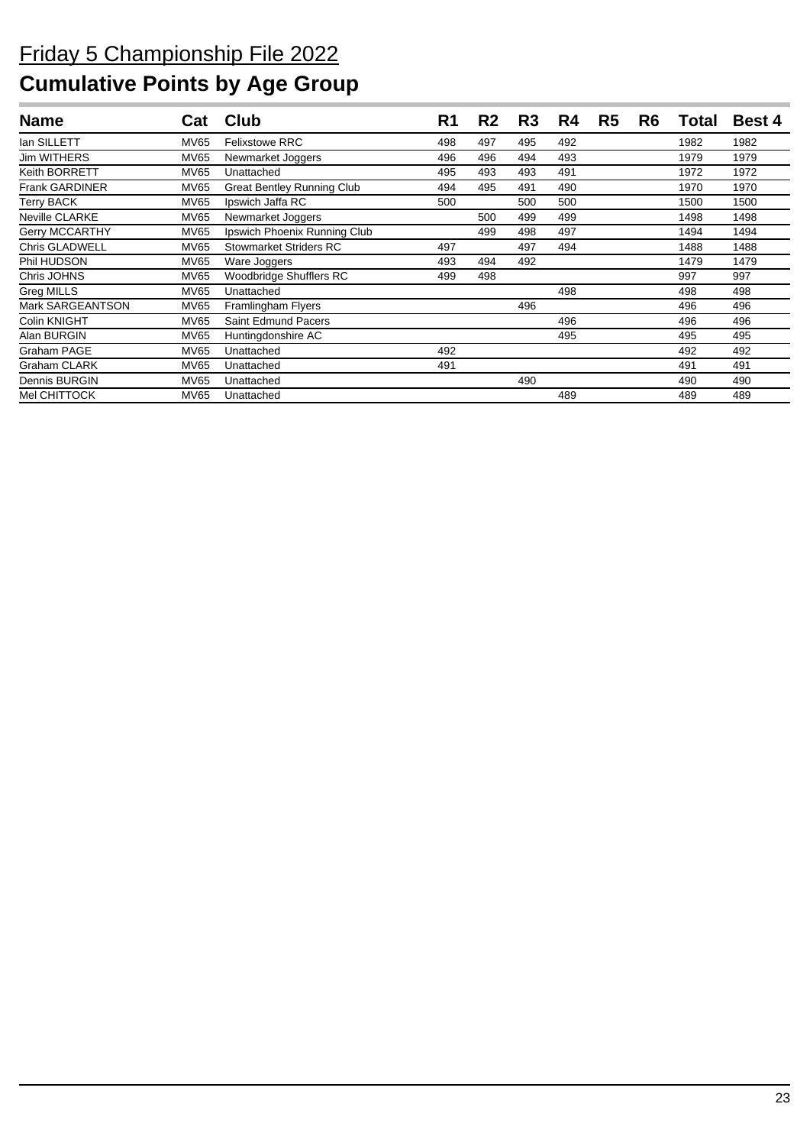| <b>Name</b>           | Cat         | Club                              | R1  | R <sub>2</sub> | R <sub>3</sub> | R4  | R <sub>5</sub> | R <sub>6</sub> | Total | <b>Best 4</b> |
|-----------------------|-------------|-----------------------------------|-----|----------------|----------------|-----|----------------|----------------|-------|---------------|
| lan SILLETT           | MV65        | <b>Felixstowe RRC</b>             | 498 | 497            | 495            | 492 |                |                | 1982  | 1982          |
| <b>Jim WITHERS</b>    | <b>MV65</b> | Newmarket Joggers                 | 496 | 496            | 494            | 493 |                |                | 1979  | 1979          |
| Keith BORRETT         | <b>MV65</b> | Unattached                        | 495 | 493            | 493            | 491 |                |                | 1972  | 1972          |
| <b>Frank GARDINER</b> | <b>MV65</b> | <b>Great Bentley Running Club</b> | 494 | 495            | 491            | 490 |                |                | 1970  | 1970          |
| <b>Terry BACK</b>     | <b>MV65</b> | Ipswich Jaffa RC                  | 500 |                | 500            | 500 |                |                | 1500  | 1500          |
| <b>Neville CLARKE</b> | <b>MV65</b> | Newmarket Joggers                 |     | 500            | 499            | 499 |                |                | 1498  | 1498          |
| <b>Gerry MCCARTHY</b> | <b>MV65</b> | Ipswich Phoenix Running Club      |     | 499            | 498            | 497 |                |                | 1494  | 1494          |
| <b>Chris GLADWELL</b> | <b>MV65</b> | <b>Stowmarket Striders RC</b>     | 497 |                | 497            | 494 |                |                | 1488  | 1488          |
| Phil HUDSON           | <b>MV65</b> | Ware Joggers                      | 493 | 494            | 492            |     |                |                | 1479  | 1479          |
| Chris JOHNS           | <b>MV65</b> | Woodbridge Shufflers RC           | 499 | 498            |                |     |                |                | 997   | 997           |
| Greg MILLS            | <b>MV65</b> | Unattached                        |     |                |                | 498 |                |                | 498   | 498           |
| Mark SARGEANTSON      | <b>MV65</b> | Framlingham Flyers                |     |                | 496            |     |                |                | 496   | 496           |
| Colin KNIGHT          | <b>MV65</b> | Saint Edmund Pacers               |     |                |                | 496 |                |                | 496   | 496           |
| Alan BURGIN           | <b>MV65</b> | Huntingdonshire AC                |     |                |                | 495 |                |                | 495   | 495           |
| Graham PAGE           | <b>MV65</b> | Unattached                        | 492 |                |                |     |                |                | 492   | 492           |
| <b>Graham CLARK</b>   | <b>MV65</b> | Unattached                        | 491 |                |                |     |                |                | 491   | 491           |
| Dennis BURGIN         | <b>MV65</b> | Unattached                        |     |                | 490            |     |                |                | 490   | 490           |
| Mel CHITTOCK          | <b>MV65</b> | Unattached                        |     |                |                | 489 |                |                | 489   | 489           |